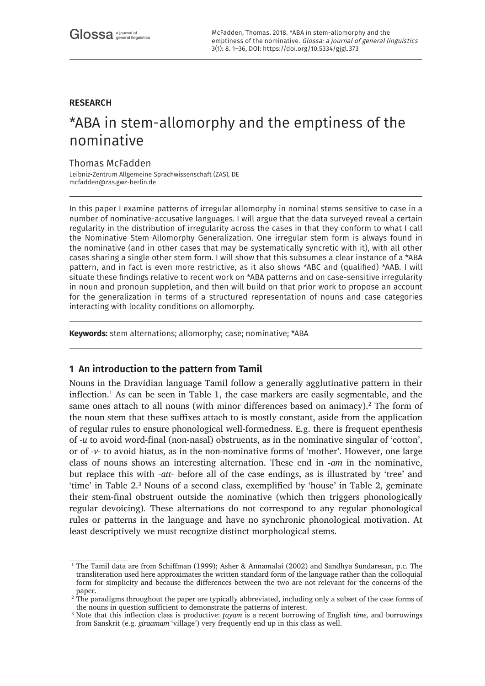# **RESEARCH**

# \*ABA in stem-allomorphy and the emptiness of the nominative

# Thomas McFadden

Leibniz-Zentrum Allgemeine Sprachwissenschaft (ZAS), DE [mcfadden@zas.gwz-berlin.de](mailto:mcfadden@zas.gwz-berlin.de)

In this paper I examine patterns of irregular allomorphy in nominal stems sensitive to case in a number of nominative-accusative languages. I will argue that the data surveyed reveal a certain regularity in the distribution of irregularity across the cases in that they conform to what I call the Nominative Stem-Allomorphy Generalization. One irregular stem form is always found in the nominative (and in other cases that may be systematically syncretic with it), with all other cases sharing a single other stem form. I will show that this subsumes a clear instance of a \*ABA pattern, and in fact is even more restrictive, as it also shows \*ABC and (qualified) \*AAB. I will situate these findings relative to recent work on \*ABA patterns and on case-sensitive irregularity in noun and pronoun suppletion, and then will build on that prior work to propose an account for the generalization in terms of a structured representation of nouns and case categories interacting with locality conditions on allomorphy.

**Keywords:** stem alternations; allomorphy; case; nominative; \*ABA

# **1 An introduction to the pattern from Tamil**

Nouns in the Dravidian language Tamil follow a generally agglutinative pattern in their inflection.<sup>1</sup> As can be seen in Table 1, the case markers are easily segmentable, and the same ones attach to all nouns (with minor differences based on animacy). $^2$  The form of the noun stem that these suffixes attach to is mostly constant, aside from the application of regular rules to ensure phonological well-formedness. E.g. there is frequent epenthesis of *-u* to avoid word-final (non-nasal) obstruents, as in the nominative singular of 'cotton', or of *-v-* to avoid hiatus, as in the non-nominative forms of 'mother'. However, one large class of nouns shows an interesting alternation. These end in *-am* in the nominative, but replace this with *-att-* before all of the case endings, as is illustrated by 'tree' and 'time' in Table 2.<sup>3</sup> Nouns of a second class, exemplified by 'house' in Table 2, geminate their stem-final obstruent outside the nominative (which then triggers phonologically regular devoicing). These alternations do not correspond to any regular phonological rules or patterns in the language and have no synchronic phonological motivation. At least descriptively we must recognize distinct morphological stems.

<sup>&</sup>lt;sup>1</sup> The Tamil data are from Schiffman (1999); Asher & Annamalai (2002) and Sandhya Sundaresan, p.c. The transliteration used here approximates the written standard form of the language rather than the colloquial form for simplicity and because the differences between the two are not relevant for the concerns of the paper.

<sup>&</sup>lt;sup>2</sup> The paradigms throughout the paper are typically abbreviated, including only a subset of the case forms of the nouns in question sufficient to demonstrate the patterns of interest.

<sup>3</sup> Note that this inflection class is productive: *ʈayam* is a recent borrowing of English *time*, and borrowings from Sanskrit (e.g. *giraamam* 'village') very frequently end up in this class as well.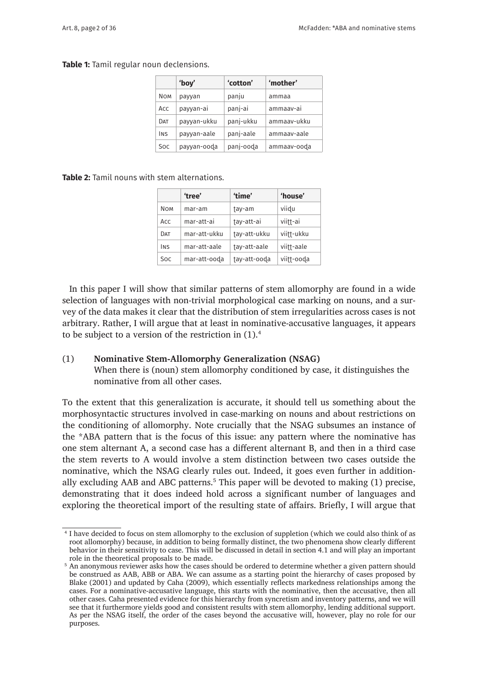#### **Table 1:** Tamil regular noun declensions.

|            | 'boy'       | 'cotton'  | 'mother'    |
|------------|-------------|-----------|-------------|
| <b>NOM</b> | payyan      | panju     | ammaa       |
| ACC        | payyan-ai   | panj-ai   | ammaav-ai   |
| DAT        | payyan-ukku | panj-ukku | ammaav-ukku |
| <b>INS</b> | payyan-aale | panj-aale | ammaav-aale |
| Soc.       | payyan-ooda | panj-ooda | ammaav-ooda |

#### **Table 2:** Tamil nouns with stem alternations.

|            | 'tree'       | 'time'       | 'house'    |
|------------|--------------|--------------|------------|
| <b>NOM</b> | mar-am       | tay-am       | viidu      |
| ACC        | mar-att-ai   | tay-att-ai   | viitt-ai   |
| DAT        | mar-att-ukku | tay-att-ukku | viitt-ukku |
| <b>INS</b> | mar-att-aale | tay-att-aale | viitt-aale |
| <b>Soc</b> | mar-att-ooda | tay-att-ooda | viitt-ooda |

In this paper I will show that similar patterns of stem allomorphy are found in a wide selection of languages with non-trivial morphological case marking on nouns, and a survey of the data makes it clear that the distribution of stem irregularities across cases is not arbitrary. Rather, I will argue that at least in nominative-accusative languages, it appears to be subject to a version of the restriction in (1).<sup>4</sup>

#### (1) **Nominative Stem-Allomorphy Generalization (NSAG)**

When there is (noun) stem allomorphy conditioned by case, it distinguishes the nominative from all other cases.

To the extent that this generalization is accurate, it should tell us something about the morphosyntactic structures involved in case-marking on nouns and about restrictions on the conditioning of allomorphy. Note crucially that the NSAG subsumes an instance of the \*ABA pattern that is the focus of this issue: any pattern where the nominative has one stem alternant A, a second case has a different alternant B, and then in a third case the stem reverts to A would involve a stem distinction between two cases outside the nominative, which the NSAG clearly rules out. Indeed, it goes even further in additionally excluding AAB and ABC patterns.<sup>5</sup> This paper will be devoted to making (1) precise, demonstrating that it does indeed hold across a significant number of languages and exploring the theoretical import of the resulting state of affairs. Briefly, I will argue that

<sup>4</sup> I have decided to focus on stem allomorphy to the exclusion of suppletion (which we could also think of as root allomorphy) because, in addition to being formally distinct, the two phenomena show clearly different behavior in their sensitivity to case. This will be discussed in detail in section 4.1 and will play an important role in the theoretical proposals to be made.

<sup>&</sup>lt;sup>5</sup> An anonymous reviewer asks how the cases should be ordered to determine whether a given pattern should be construed as AAB, ABB or ABA. We can assume as a starting point the hierarchy of cases proposed by Blake (2001) and updated by Caha (2009), which essentially reflects markedness relationships among the cases. For a nominative-accusative language, this starts with the nominative, then the accusative, then all other cases. Caha presented evidence for this hierarchy from syncretism and inventory patterns, and we will see that it furthermore yields good and consistent results with stem allomorphy, lending additional support. As per the NSAG itself, the order of the cases beyond the accusative will, however, play no role for our purposes.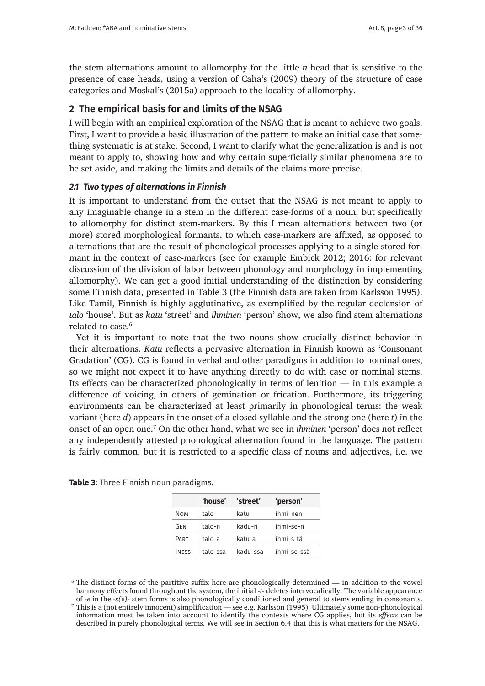the stem alternations amount to allomorphy for the little *n* head that is sensitive to the presence of case heads, using a version of Caha's (2009) theory of the structure of case categories and Moskal's (2015a) approach to the locality of allomorphy.

## **2 The empirical basis for and limits of the NSAG**

I will begin with an empirical exploration of the NSAG that is meant to achieve two goals. First, I want to provide a basic illustration of the pattern to make an initial case that something systematic is at stake. Second, I want to clarify what the generalization is and is not meant to apply to, showing how and why certain superficially similar phenomena are to be set aside, and making the limits and details of the claims more precise.

#### *2.1 Two types of alternations in Finnish*

It is important to understand from the outset that the NSAG is not meant to apply to any imaginable change in a stem in the different case-forms of a noun, but specifically to allomorphy for distinct stem-markers. By this I mean alternations between two (or more) stored morphological formants, to which case-markers are affixed, as opposed to alternations that are the result of phonological processes applying to a single stored formant in the context of case-markers (see for example Embick 2012; 2016: for relevant discussion of the division of labor between phonology and morphology in implementing allomorphy). We can get a good initial understanding of the distinction by considering some Finnish data, presented in Table 3 (the Finnish data are taken from Karlsson 1995). Like Tamil, Finnish is highly agglutinative, as exemplified by the regular declension of *talo* 'house'. But as *katu* 'street' and *ihminen* 'person' show, we also find stem alternations related to case.<sup>6</sup>

Yet it is important to note that the two nouns show crucially distinct behavior in their alternations. *Katu* reflects a pervasive alternation in Finnish known as 'Consonant Gradation' (CG). CG is found in verbal and other paradigms in addition to nominal ones, so we might not expect it to have anything directly to do with case or nominal stems. Its effects can be characterized phonologically in terms of lenition — in this example a difference of voicing, in others of gemination or frication. Furthermore, its triggering environments can be characterized at least primarily in phonological terms: the weak variant (here *d*) appears in the onset of a closed syllable and the strong one (here *t*) in the onset of an open one.<sup>7</sup> On the other hand, what we see in *ihminen* 'person' does not reflect any independently attested phonological alternation found in the language. The pattern is fairly common, but it is restricted to a specific class of nouns and adjectives, i.e. we

|              | 'house'  | 'street' | 'person'    |
|--------------|----------|----------|-------------|
| <b>NOM</b>   | talo     | katu     | ihmi-nen    |
| GEN          | $talo-n$ | kadu-n   | ihmi-se-n   |
| PART         | talo-a   | katu-a   | ihmi-s-tä   |
| <b>INFSS</b> | talo-ssa | kadu-ssa | ihmi-se-ssä |

**Table 3:** Three Finnish noun paradigms.

<sup>&</sup>lt;sup>6</sup> The distinct forms of the partitive suffix here are phonologically determined — in addition to the vowel harmony effects found throughout the system, the initial *-t-* deletes intervocalically. The variable appearance of *-e* in the *-s(e)-* stem forms is also phonologically conditioned and general to stems ending in consonants.

<sup>7</sup> This is a (not entirely innocent) simplification — see e.g. Karlsson (1995). Ultimately some non-phonological information must be taken into account to identify the contexts where CG applies, but its *effects* can be described in purely phonological terms. We will see in Section 6.4 that this is what matters for the NSAG.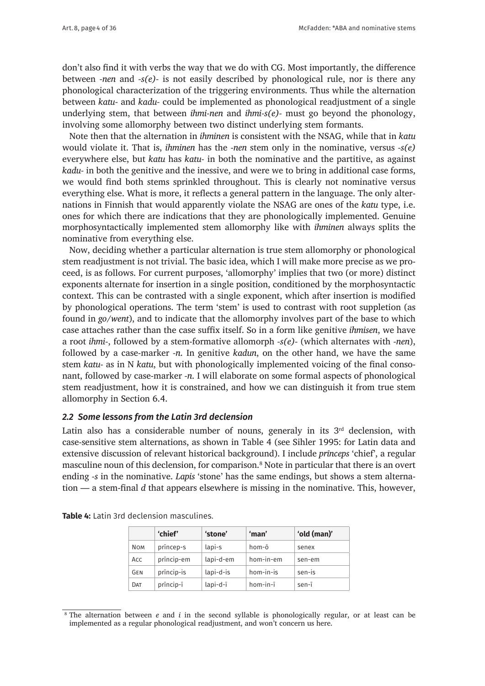don't also find it with verbs the way that we do with CG. Most importantly, the difference between *-nen* and *-s(e)-* is not easily described by phonological rule, nor is there any phonological characterization of the triggering environments. Thus while the alternation between *katu-* and *kadu-* could be implemented as phonological readjustment of a single underlying stem, that between *ihmi-nen* and *ihmi-s(e)-* must go beyond the phonology, involving some allomorphy between two distinct underlying stem formants.

Note then that the alternation in *ihminen* is consistent with the NSAG, while that in *katu* would violate it. That is, *ihminen* has the *-nen* stem only in the nominative, versus *-s(e)* everywhere else, but *katu* has *katu-* in both the nominative and the partitive, as against *kadu-* in both the genitive and the inessive, and were we to bring in additional case forms, we would find both stems sprinkled throughout. This is clearly not nominative versus everything else. What is more, it reflects a general pattern in the language. The only alternations in Finnish that would apparently violate the NSAG are ones of the *katu* type, i.e. ones for which there are indications that they are phonologically implemented. Genuine morphosyntactically implemented stem allomorphy like with *ihminen* always splits the nominative from everything else.

Now, deciding whether a particular alternation is true stem allomorphy or phonological stem readjustment is not trivial. The basic idea, which I will make more precise as we proceed, is as follows. For current purposes, 'allomorphy' implies that two (or more) distinct exponents alternate for insertion in a single position, conditioned by the morphosyntactic context. This can be contrasted with a single exponent, which after insertion is modified by phonological operations. The term 'stem' is used to contrast with root suppletion (as found in *go/went*), and to indicate that the allomorphy involves part of the base to which case attaches rather than the case suffix itself. So in a form like genitive *ihmisen*, we have a root *ihmi-*, followed by a stem-formative allomorph *-s(e)-* (which alternates with *-nen*), followed by a case-marker *-n*. In genitive *kadun*, on the other hand, we have the same stem *katu-* as in N *katu*, but with phonologically implemented voicing of the final consonant, followed by case-marker *-n*. I will elaborate on some formal aspects of phonological stem readjustment, how it is constrained, and how we can distinguish it from true stem allomorphy in Section 6.4.

### *2.2 Some lessons from the Latin 3rd declension*

Latin also has a considerable number of nouns, generaly in its  $3<sup>rd</sup>$  declension, with case-sensitive stem alternations, as shown in Table 4 (see Sihler 1995: for Latin data and extensive discussion of relevant historical background). I include *prīnceps* 'chief', a regular masculine noun of this declension, for comparison.<sup>8</sup> Note in particular that there is an overt ending *-s* in the nominative. *Lapis* 'stone' has the same endings, but shows a stem alternation — a stem-final *d* that appears elsewhere is missing in the nominative. This, however,

|            | 'chief'    | 'stone'   | 'man'     | 'old (man)' |
|------------|------------|-----------|-----------|-------------|
| <b>NOM</b> | princep-s  | lapi-s    | hom-ō     | senex       |
| Acc        | princip-em | lapi-d-em | hom-in-em | sen-em      |
| <b>GEN</b> | princip-is | lapi-d-is | hom-in-is | sen-is      |
| DAT        | princip-i  | lapi-d-ī  | hom-in-ī  | sen-ī       |

**Table 4:** Latin 3rd declension masculines.

<sup>8</sup> The alternation between *e* and *i* in the second syllable is phonologically regular, or at least can be implemented as a regular phonological readjustment, and won't concern us here.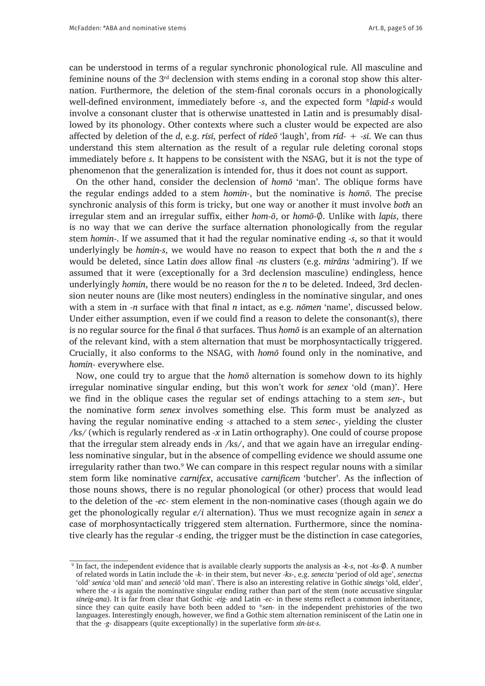can be understood in terms of a regular synchronic phonological rule. All masculine and feminine nouns of the  $3<sup>rd</sup>$  declension with stems ending in a coronal stop show this alternation. Furthermore, the deletion of the stem-final coronals occurs in a phonologically well-defined environment, immediately before *-s*, and the expected form \**lapid-s* would involve a consonant cluster that is otherwise unattested in Latin and is presumably disallowed by its phonology. Other contexts where such a cluster would be expected are also affected by deletion of the *d*, e.g. *rīsī*, perfect of *rīdeō* 'laugh', from *rīd-* + *-sī*. We can thus understand this stem alternation as the result of a regular rule deleting coronal stops immediately before *s*. It happens to be consistent with the NSAG, but it is not the type of phenomenon that the generalization is intended for, thus it does not count as support.

On the other hand, consider the declension of *homō* 'man'. The oblique forms have the regular endings added to a stem *homin-*, but the nominative is *homō*. The precise synchronic analysis of this form is tricky, but one way or another it must involve *both* an irregular stem and an irregular suffix, either *hom-ō*, or *homō-*Ø. Unlike with *lapis*, there is no way that we can derive the surface alternation phonologically from the regular stem *homin-*. If we assumed that it had the regular nominative ending *-s*, so that it would underlyingly be *homin-s*, we would have no reason to expect that both the *n* and the *s* would be deleted, since Latin *does* allow final *-ns* clusters (e.g. *mīrāns* 'admiring'). If we assumed that it were (exceptionally for a 3rd declension masculine) endingless, hence underlyingly *homin*, there would be no reason for the *n* to be deleted. Indeed, 3rd declension neuter nouns are (like most neuters) endingless in the nominative singular, and ones with a stem in *-n* surface with that final *n* intact, as e.g. *nōmen* 'name', discussed below. Under either assumption, even if we could find a reason to delete the consonant(s), there is no regular source for the final *ō* that surfaces. Thus *homō* is an example of an alternation of the relevant kind, with a stem alternation that must be morphosyntactically triggered. Crucially, it also conforms to the NSAG, with *homō* found only in the nominative, and *homin-* everywhere else.

Now, one could try to argue that the *homō* alternation is somehow down to its highly irregular nominative singular ending, but this won't work for *senex* 'old (man)'. Here we find in the oblique cases the regular set of endings attaching to a stem *sen-*, but the nominative form *senex* involves something else. This form must be analyzed as having the regular nominative ending *-s* attached to a stem *senec-*, yielding the cluster /ks/ (which is regularly rendered as *-x* in Latin orthography). One could of course propose that the irregular stem already ends in /ks/, and that we again have an irregular endingless nominative singular, but in the absence of compelling evidence we should assume one irregularity rather than two.<sup>9</sup> We can compare in this respect regular nouns with a similar stem form like nominative *carnifex*, accusative *carnificem* 'butcher'. As the inflection of those nouns shows, there is no regular phonological (or other) process that would lead to the deletion of the *-ec-* stem element in the non-nominative cases (though again we do get the phonologically regular *e/i* alternation). Thus we must recognize again in *senex* a case of morphosyntactically triggered stem alternation. Furthermore, since the nominative clearly has the regular *-s* ending, the trigger must be the distinction in case categories,

<sup>9</sup> In fact, the independent evidence that is available clearly supports the analysis as *-k-s*, not *-ks-*Ø. A number of related words in Latin include the *-k-* in their stem, but never *-ks-*, e.g. *senecta* 'period of old age', *senectus* 'old' *senica* 'old man' and *seneciō* 'old man'. There is also an interesting relative in Gothic *sineigs* 'old, elder', where the *-s* is again the nominative singular ending rather than part of the stem (note accusative singular *sineig-ana*). It is far from clear that Gothic *-eig-* and Latin *-ec-* in these stems reflect a common inheritance, since they can quite easily have both been added to \**sen-* in the independent prehistories of the two languages. Interestingly enough, however, we find a Gothic stem alternation reminiscent of the Latin one in that the *-g-* disappears (quite exceptionally) in the superlative form *sin-ist-s*.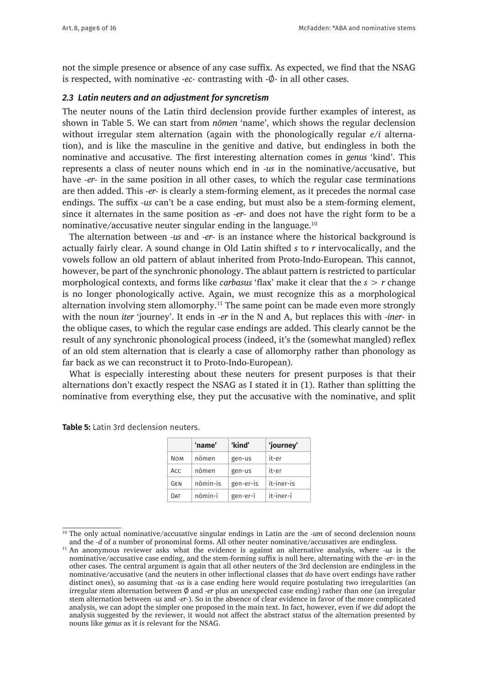not the simple presence or absence of any case suffix. As expected, we find that the NSAG is respected, with nominative *-ec-* contrasting with -Ø- in all other cases.

#### *2.3 Latin neuters and an adjustment for syncretism*

The neuter nouns of the Latin third declension provide further examples of interest, as shown in Table 5. We can start from *nōmen* 'name', which shows the regular declension without irregular stem alternation (again with the phonologically regular *e/i* alternation), and is like the masculine in the genitive and dative, but endingless in both the nominative and accusative. The first interesting alternation comes in *genus* 'kind'. This represents a class of neuter nouns which end in *-us* in the nominative/accusative, but have *-er-* in the same position in all other cases, to which the regular case terminations are then added. This *-er-* is clearly a stem-forming element, as it precedes the normal case endings. The suffix *-us* can't be a case ending, but must also be a stem-forming element, since it alternates in the same position as *-er-* and does not have the right form to be a nominative/accusative neuter singular ending in the language.10

The alternation between *-us* and *-er-* is an instance where the historical background is actually fairly clear. A sound change in Old Latin shifted *s* to *r* intervocalically, and the vowels follow an old pattern of ablaut inherited from Proto-Indo-European. This cannot, however, be part of the synchronic phonology. The ablaut pattern is restricted to particular morphological contexts, and forms like *carbasus* 'flax' make it clear that the *s* > *r* change is no longer phonologically active. Again, we must recognize this as a morphological alternation involving stem allomorphy.<sup>11</sup> The same point can be made even more strongly with the noun *iter* 'journey'. It ends in *-er* in the N and A, but replaces this with *-iner-* in the oblique cases, to which the regular case endings are added. This clearly cannot be the result of any synchronic phonological process (indeed, it's the (somewhat mangled) reflex of an old stem alternation that is clearly a case of allomorphy rather than phonology as far back as we can reconstruct it to Proto-Indo-European).

What is especially interesting about these neuters for present purposes is that their alternations don't exactly respect the NSAG as I stated it in (1). Rather than splitting the nominative from everything else, they put the accusative with the nominative, and split

|            | 'name'   | 'kind'    | 'journey'  |
|------------|----------|-----------|------------|
| <b>NOM</b> | nōmen    | gen-us    | it-er      |
| <b>ACC</b> | nōmen    | gen-us    | it-er      |
| GEN        | nōmin-is | gen-er-is | it-iner-is |
| DAT        | nōmin-ī  | gen-er-ī  | it-iner-ī  |

**Table 5:** Latin 3rd declension neuters.

<sup>&</sup>lt;sup>10</sup> The only actual nominative/accusative singular endings in Latin are the *-um* of second declension nouns and the *-d* of a number of pronominal forms. All other neuter nominative/accusatives are endingless.

<sup>11</sup> An anonymous reviewer asks what the evidence is against an alternative analysis, where *-us* is the nominative/accusative case ending, and the stem-forming suffix is null here, alternating with the *-er-* in the other cases. The central argument is again that all other neuters of the 3rd declension are endingless in the nominative/accusative (and the neuters in other inflectional classes that *do* have overt endings have rather distinct ones), so assuming that *-us* is a case ending here would require postulating two irregularities (an irregular stem alternation between Ø and *-er* plus an unexpected case ending) rather than one (an irregular stem alternation between *-us* and *-er-*). So in the absence of clear evidence in favor of the more complicated analysis, we can adopt the simpler one proposed in the main text. In fact, however, even if we *did* adopt the analysis suggested by the reviewer, it would not affect the abstract status of the alternation presented by nouns like *genus* as it is relevant for the NSAG.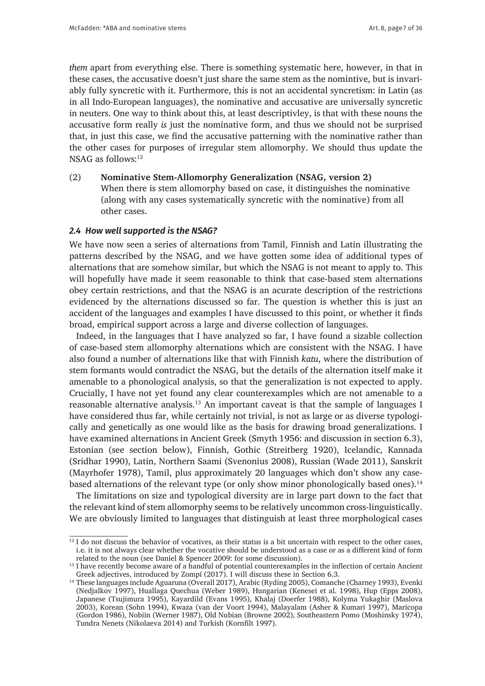*them* apart from everything else. There is something systematic here, however, in that in these cases, the accusative doesn't just share the same stem as the nomintive, but is invariably fully syncretic with it. Furthermore, this is not an accidental syncretism: in Latin (as in all Indo-European languages), the nominative and accusative are universally syncretic in neuters. One way to think about this, at least descriptivley, is that with these nouns the accusative form really *is* just the nominative form, and thus we should not be surprised that, in just this case, we find the accusative patterning with the nominative rather than the other cases for purposes of irregular stem allomorphy. We should thus update the NSAG as follows:<sup>12</sup>

(2) **Nominative Stem-Allomorphy Generalization (NSAG, version 2)** When there is stem allomorphy based on case, it distinguishes the nominative (along with any cases systematically syncretic with the nominative) from all other cases.

#### *2.4 How well supported is the NSAG?*

We have now seen a series of alternations from Tamil, Finnish and Latin illustrating the patterns described by the NSAG, and we have gotten some idea of additional types of alternations that are somehow similar, but which the NSAG is not meant to apply to. This will hopefully have made it seem reasonable to think that case-based stem alternations obey certain restrictions, and that the NSAG is an acurate description of the restrictions evidenced by the alternations discussed so far. The question is whether this is just an accident of the languages and examples I have discussed to this point, or whether it finds broad, empirical support across a large and diverse collection of languages.

Indeed, in the languages that I have analyzed so far, I have found a sizable collection of case-based stem allomorphy alternations which are consistent with the NSAG. I have also found a number of alternations like that with Finnish *katu*, where the distribution of stem formants would contradict the NSAG, but the details of the alternation itself make it amenable to a phonological analysis, so that the generalization is not expected to apply. Crucially, I have not yet found any clear counterexamples which are not amenable to a reasonable alternative analysis.<sup>13</sup> An important caveat is that the sample of languages I have considered thus far, while certainly not trivial, is not as large or as diverse typologically and genetically as one would like as the basis for drawing broad generalizations. I have examined alternations in Ancient Greek (Smyth 1956: and discussion in section 6.3), Estonian (see section below), Finnish, Gothic (Streitberg 1920), Icelandic, Kannada (Sridhar 1990), Latin, Northern Saami (Svenonius 2008), Russian (Wade 2011), Sanskrit (Mayrhofer 1978), Tamil, plus approximately 20 languages which don't show any casebased alternations of the relevant type (or only show minor phonologically based ones).<sup>14</sup>

The limitations on size and typological diversity are in large part down to the fact that the relevant kind of stem allomorphy seems to be relatively uncommon cross-linguistically. We are obviously limited to languages that distinguish at least three morphological cases

 $\frac{12}{12}$  I do not discuss the behavior of vocatives, as their status is a bit uncertain with respect to the other cases, i.e. it is not always clear whether the vocative should be understood as a case or as a different kind of form related to the noun (see Daniel & Spencer 2009: for some discussion).

<sup>&</sup>lt;sup>13</sup> I have recently become aware of a handful of potential counterexamples in the inflection of certain Ancient Greek adjectives, introduced by Zompí (2017). I will discuss these in Section 6.3.

<sup>&</sup>lt;sup>14</sup> These languages include Aguaruna (Overall 2017), Arabic (Ryding 2005), Comanche (Charney 1993), Evenki (Nedjalkov 1997), Huallaga Quechua (Weber 1989), Hungarian (Kenesei et al. 1998), Hup (Epps 2008), Japanese (Tsujimura 1995), Kayardild (Evans 1995), Khalaj (Doerfer 1988), Kolyma Yukaghir (Maslova 2003), Korean (Sohn 1994), Kwaza (van der Voort 1994), Malayalam (Asher & Kumari 1997), Maricopa (Gordon 1986), Nobiin (Werner 1987), Old Nubian (Browne 2002), Southeastern Pomo (Moshinsky 1974), Tundra Nenets (Nikolaeva 2014) and Turkish (Kornfilt 1997).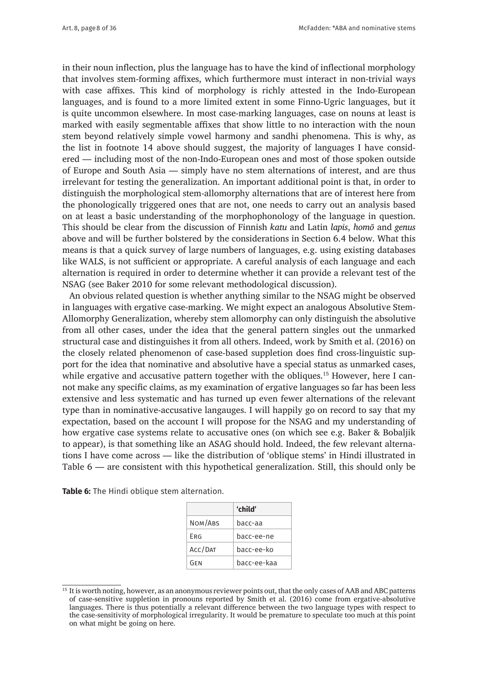in their noun inflection, plus the language has to have the kind of inflectional morphology that involves stem-forming affixes, which furthermore must interact in non-trivial ways with case affixes. This kind of morphology is richly attested in the Indo-European languages, and is found to a more limited extent in some Finno-Ugric languages, but it is quite uncommon elsewhere. In most case-marking languages, case on nouns at least is marked with easily segmentable affixes that show little to no interaction with the noun stem beyond relatively simple vowel harmony and sandhi phenomena. This is why, as the list in footnote 14 above should suggest, the majority of languages I have considered — including most of the non-Indo-European ones and most of those spoken outside of Europe and South Asia — simply have no stem alternations of interest, and are thus irrelevant for testing the generalization. An important additional point is that, in order to distinguish the morphological stem-allomorphy alternations that are of interest here from the phonologically triggered ones that are not, one needs to carry out an analysis based on at least a basic understanding of the morphophonology of the language in question. This should be clear from the discussion of Finnish *katu* and Latin *lapis*, *homō* and *genus* above and will be further bolstered by the considerations in Section 6.4 below. What this means is that a quick survey of large numbers of languages, e.g. using existing databases like WALS, is not sufficient or appropriate. A careful analysis of each language and each alternation is required in order to determine whether it can provide a relevant test of the NSAG (see Baker 2010 for some relevant methodological discussion).

An obvious related question is whether anything similar to the NSAG might be observed in languages with ergative case-marking. We might expect an analogous Absolutive Stem-Allomorphy Generalization, whereby stem allomorphy can only distinguish the absolutive from all other cases, under the idea that the general pattern singles out the unmarked structural case and distinguishes it from all others. Indeed, work by Smith et al. (2016) on the closely related phenomenon of case-based suppletion does find cross-linguistic support for the idea that nominative and absolutive have a special status as unmarked cases, while ergative and accusative pattern together with the obliques.<sup>15</sup> However, here I cannot make any specific claims, as my examination of ergative languages so far has been less extensive and less systematic and has turned up even fewer alternations of the relevant type than in nominative-accusative langauges. I will happily go on record to say that my expectation, based on the account I will propose for the NSAG and my understanding of how ergative case systems relate to accusative ones (on which see e.g. Baker & Bobaljik to appear), is that something like an ASAG should hold. Indeed, the few relevant alternations I have come across — like the distribution of 'oblique stems' in Hindi illustrated in Table 6 — are consistent with this hypothetical generalization. Still, this should only be

|         | 'child'     |
|---------|-------------|
| NOM/ABS | bacc-aa     |
| Frg     | bacc-ee-ne  |
| ACC/DAT | bacc-ee-ko  |
| GFN     | bacc-ee-kaa |

<sup>&</sup>lt;sup>15</sup> It is worth noting, however, as an anonymous reviewer points out, that the only cases of AAB and ABC patterns of case-sensitive suppletion in pronouns reported by Smith et al. (2016) come from ergative-absolutive languages. There is thus potentially a relevant difference between the two language types with respect to the case-sensitivity of morphological irregularity. It would be premature to speculate too much at this point on what might be going on here.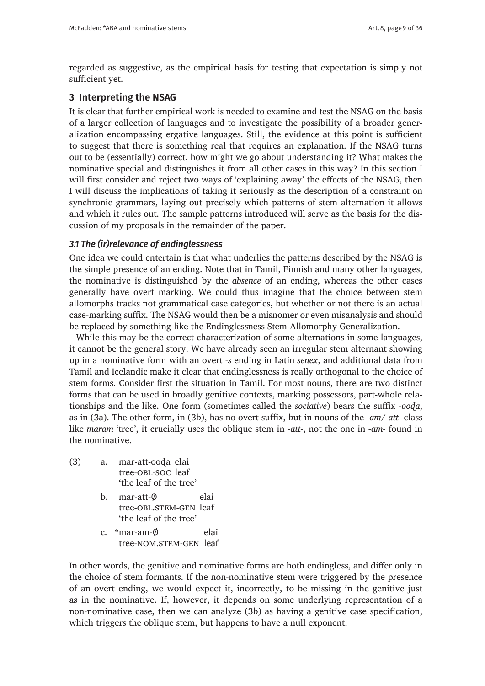regarded as suggestive, as the empirical basis for testing that expectation is simply not sufficient yet.

# **3 Interpreting the NSAG**

It is clear that further empirical work is needed to examine and test the NSAG on the basis of a larger collection of languages and to investigate the possibility of a broader generalization encompassing ergative languages. Still, the evidence at this point is sufficient to suggest that there is something real that requires an explanation. If the NSAG turns out to be (essentially) correct, how might we go about understanding it? What makes the nominative special and distinguishes it from all other cases in this way? In this section I will first consider and reject two ways of 'explaining away' the effects of the NSAG, then I will discuss the implications of taking it seriously as the description of a constraint on synchronic grammars, laying out precisely which patterns of stem alternation it allows and which it rules out. The sample patterns introduced will serve as the basis for the discussion of my proposals in the remainder of the paper.

## *3.1 The (ir)relevance of endinglessness*

One idea we could entertain is that what underlies the patterns described by the NSAG is the simple presence of an ending. Note that in Tamil, Finnish and many other languages, the nominative is distinguished by the *absence* of an ending, whereas the other cases generally have overt marking. We could thus imagine that the choice between stem allomorphs tracks not grammatical case categories, but whether or not there is an actual case-marking suffix. The NSAG would then be a misnomer or even misanalysis and should be replaced by something like the Endinglessness Stem-Allomorphy Generalization.

While this may be the correct characterization of some alternations in some languages, it cannot be the general story. We have already seen an irregular stem alternant showing up in a nominative form with an overt *-s* ending in Latin *senex*, and additional data from Tamil and Icelandic make it clear that endinglessness is really orthogonal to the choice of stem forms. Consider first the situation in Tamil. For most nouns, there are two distinct forms that can be used in broadly genitive contexts, marking possessors, part-whole relationships and the like. One form (sometimes called the *sociative*) bears the suffix *-ooɖa*, as in (3a). The other form, in (3b), has no overt suffix, but in nouns of the *-am/-att-* class like *maram* 'tree', it crucially uses the oblique stem in *-att-*, not the one in *-am-* found in the nominative.

- (3) a. mar-att-ooɖa elai tree-obl-soc leaf 'the leaf of the tree'
	- b. mar-att-Ø elai tree-OBL.STEM-GEN leaf 'the leaf of the tree'
	- c. \*mar-am-Ø elai tree-NOM.STEM-GEN leaf

In other words, the genitive and nominative forms are both endingless, and differ only in the choice of stem formants. If the non-nominative stem were triggered by the presence of an overt ending, we would expect it, incorrectly, to be missing in the genitive just as in the nominative. If, however, it depends on some underlying representation of a non-nominative case, then we can analyze (3b) as having a genitive case specification, which triggers the oblique stem, but happens to have a null exponent.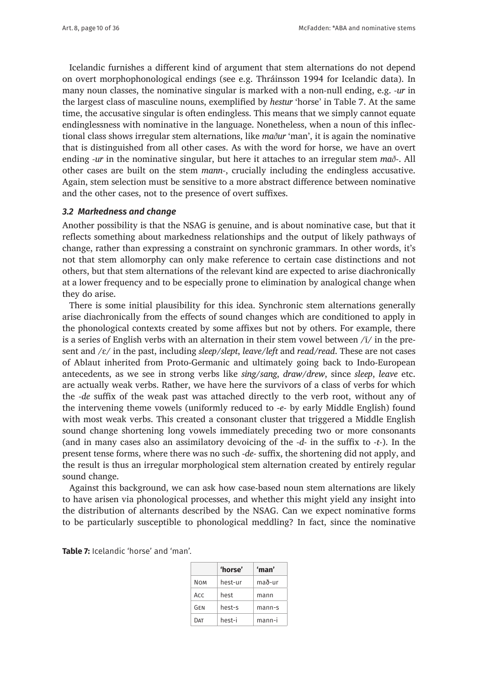Icelandic furnishes a different kind of argument that stem alternations do not depend on overt morphophonological endings (see e.g. Thráinsson 1994 for Icelandic data). In many noun classes, the nominative singular is marked with a non-null ending, e.g. *-ur* in the largest class of masculine nouns, exemplified by *hestur* 'horse' in Table 7. At the same time, the accusative singular is often endingless. This means that we simply cannot equate endinglessness with nominative in the language. Nonetheless, when a noun of this inflectional class shows irregular stem alternations, like *maður* 'man', it is again the nominative that is distinguished from all other cases. As with the word for horse, we have an overt ending *-ur* in the nominative singular, but here it attaches to an irregular stem *mað-*. All other cases are built on the stem *mann-*, crucially including the endingless accusative. Again, stem selection must be sensitive to a more abstract difference between nominative and the other cases, not to the presence of overt suffixes.

### *3.2 Markedness and change*

Another possibility is that the NSAG is genuine, and is about nominative case, but that it reflects something about markedness relationships and the output of likely pathways of change, rather than expressing a constraint on synchronic grammars. In other words, it's not that stem allomorphy can only make reference to certain case distinctions and not others, but that stem alternations of the relevant kind are expected to arise diachronically at a lower frequency and to be especially prone to elimination by analogical change when they do arise.

There is some initial plausibility for this idea. Synchronic stem alternations generally arise diachronically from the effects of sound changes which are conditioned to apply in the phonological contexts created by some affixes but not by others. For example, there is a series of English verbs with an alternation in their stem vowel between  $\pi/$  in the present and /ɛ/ in the past, including *sleep/slept*, *leave/left* and *read/read*. These are not cases of Ablaut inherited from Proto-Germanic and ultimately going back to Indo-European antecedents, as we see in strong verbs like *sing/sang*, *draw/drew*, since *sleep*, *leave* etc. are actually weak verbs. Rather, we have here the survivors of a class of verbs for which the *-de* suffix of the weak past was attached directly to the verb root, without any of the intervening theme vowels (uniformly reduced to *-e-* by early Middle English) found with most weak verbs. This created a consonant cluster that triggered a Middle English sound change shortening long vowels immediately preceding two or more consonants (and in many cases also an assimilatory devoicing of the *-d-* in the suffix to *-t-*). In the present tense forms, where there was no such *-de-* suffix, the shortening did not apply, and the result is thus an irregular morphological stem alternation created by entirely regular sound change.

Against this background, we can ask how case-based noun stem alternations are likely to have arisen via phonological processes, and whether this might yield any insight into the distribution of alternants described by the NSAG. Can we expect nominative forms to be particularly susceptible to phonological meddling? In fact, since the nominative

| <b>Table 7:</b> Icelandic 'horse' and 'man'. |  |
|----------------------------------------------|--|
|----------------------------------------------|--|

|     | 'horse' | 'man'    |
|-----|---------|----------|
| NOM | hest-ur | mað-ur   |
| Acc | hest    | mann     |
| GFN | hest-s  | $mann-s$ |
| DAT | hest-i  | mann-i   |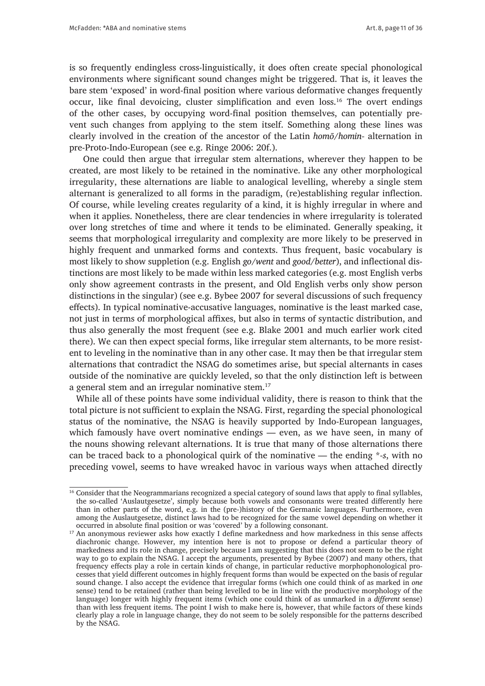is so frequently endingless cross-linguistically, it does often create special phonological environments where significant sound changes might be triggered. That is, it leaves the bare stem 'exposed' in word-final position where various deformative changes frequently occur, like final devoicing, cluster simplification and even loss.<sup>16</sup> The overt endings of the other cases, by occupying word-final position themselves, can potentially prevent such changes from applying to the stem itself. Something along these lines was clearly involved in the creation of the ancestor of the Latin *homō/homin-* alternation in pre-Proto-Indo-European (see e.g. Ringe 2006: 20f.).

 One could then argue that irregular stem alternations, wherever they happen to be created, are most likely to be retained in the nominative. Like any other morphological irregularity, these alternations are liable to analogical levelling, whereby a single stem alternant is generalized to all forms in the paradigm, (re)establishing regular inflection. Of course, while leveling creates regularity of a kind, it is highly irregular in where and when it applies. Nonetheless, there are clear tendencies in where irregularity is tolerated over long stretches of time and where it tends to be eliminated. Generally speaking, it seems that morphological irregularity and complexity are more likely to be preserved in highly frequent and unmarked forms and contexts. Thus frequent, basic vocabulary is most likely to show suppletion (e.g. English *go/went* and *good/better*), and inflectional distinctions are most likely to be made within less marked categories (e.g. most English verbs only show agreement contrasts in the present, and Old English verbs only show person distinctions in the singular) (see e.g. Bybee 2007 for several discussions of such frequency effects). In typical nominative-accusative languages, nominative is the least marked case, not just in terms of morphological affixes, but also in terms of syntactic distribution, and thus also generally the most frequent (see e.g. Blake 2001 and much earlier work cited there). We can then expect special forms, like irregular stem alternants, to be more resistent to leveling in the nominative than in any other case. It may then be that irregular stem alternations that contradict the NSAG do sometimes arise, but special alternants in cases outside of the nominative are quickly leveled, so that the only distinction left is between a general stem and an irregular nominative stem.<sup>17</sup>

While all of these points have some individual validity, there is reason to think that the total picture is not sufficient to explain the NSAG. First, regarding the special phonological status of the nominative, the NSAG is heavily supported by Indo-European languages, which famously have overt nominative endings — even, as we have seen, in many of the nouns showing relevant alternations. It is true that many of those alternations there can be traced back to a phonological quirk of the nominative — the ending \**-s*, with no preceding vowel, seems to have wreaked havoc in various ways when attached directly

<sup>&</sup>lt;sup>16</sup> Consider that the Neogrammarians recognized a special category of sound laws that apply to final syllables, the so-called 'Auslautgesetze', simply because both vowels and consonants were treated differently here than in other parts of the word, e.g. in the (pre-)history of the Germanic languages. Furthermore, even among the Auslautgesetze, distinct laws had to be recognized for the same vowel depending on whether it occurred in absolute final position or was 'covered' by a following consonant.

<sup>&</sup>lt;sup>17</sup> An anonymous reviewer asks how exactly I define markedness and how markedness in this sense affects diachronic change. However, my intention here is not to propose or defend a particular theory of markedness and its role in change, precisely because I am suggesting that this does not seem to be the right way to go to explain the NSAG. I accept the arguments, presented by Bybee (2007) and many others, that frequency effects play a role in certain kinds of change, in particular reductive morphophonological processes that yield different outcomes in highly frequent forms than would be expected on the basis of regular sound change. I also accept the evidence that irregular forms (which one could think of as marked in *one* sense) tend to be retained (rather than being levelled to be in line with the productive morphology of the language) longer with highly frequent items (which one could think of as unmarked in a *different* sense) than with less frequent items. The point I wish to make here is, however, that while factors of these kinds clearly play a role in language change, they do not seem to be solely responsible for the patterns described by the NSAG.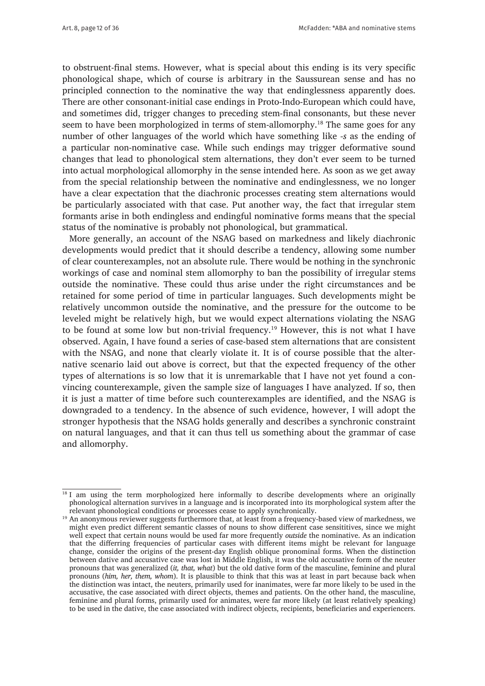to obstruent-final stems. However, what is special about this ending is its very specific phonological shape, which of course is arbitrary in the Saussurean sense and has no principled connection to the nominative the way that endinglessness apparently does. There are other consonant-initial case endings in Proto-Indo-European which could have, and sometimes did, trigger changes to preceding stem-final consonants, but these never seem to have been morphologized in terms of stem-allomorphy.18 The same goes for any number of other languages of the world which have something like *-s* as the ending of a particular non-nominative case. While such endings may trigger deformative sound changes that lead to phonological stem alternations, they don't ever seem to be turned into actual morphological allomorphy in the sense intended here. As soon as we get away from the special relationship between the nominative and endinglessness, we no longer have a clear expectation that the diachronic processes creating stem alternations would be particularly associated with that case. Put another way, the fact that irregular stem formants arise in both endingless and endingful nominative forms means that the special status of the nominative is probably not phonological, but grammatical.

More generally, an account of the NSAG based on markedness and likely diachronic developments would predict that it should describe a tendency, allowing some number of clear counterexamples, not an absolute rule. There would be nothing in the synchronic workings of case and nominal stem allomorphy to ban the possibility of irregular stems outside the nominative. These could thus arise under the right circumstances and be retained for some period of time in particular languages. Such developments might be relatively uncommon outside the nominative, and the pressure for the outcome to be leveled might be relatively high, but we would expect alternations violating the NSAG to be found at some low but non-trivial frequency.19 However, this is not what I have observed. Again, I have found a series of case-based stem alternations that are consistent with the NSAG, and none that clearly violate it. It is of course possible that the alternative scenario laid out above is correct, but that the expected frequency of the other types of alternations is so low that it is unremarkable that I have not yet found a convincing counterexample, given the sample size of languages I have analyzed. If so, then it is just a matter of time before such counterexamples are identified, and the NSAG is downgraded to a tendency. In the absence of such evidence, however, I will adopt the stronger hypothesis that the NSAG holds generally and describes a synchronic constraint on natural languages, and that it can thus tell us something about the grammar of case and allomorphy.

<sup>&</sup>lt;sup>18</sup> I am using the term morphologized here informally to describe developments where an originally phonological alternation survives in a language and is incorporated into its morphological system after the relevant phonological conditions or processes cease to apply synchronically.

<sup>&</sup>lt;sup>19</sup> An anonymous reviewer suggests furthermore that, at least from a frequency-based view of markedness, we might even predict different semantic classes of nouns to show different case sensititives, since we might well expect that certain nouns would be used far more frequently *outside* the nominative. As an indication that the differring frequencies of particular cases with different items might be relevant for language change, consider the origins of the present-day English oblique pronominal forms. When the distinction between dative and accusative case was lost in Middle English, it was the old accusative form of the neuter pronouns that was generalized (*it, that, what*) but the old dative form of the masculine, feminine and plural pronouns (*him, her, them, whom*). It is plausible to think that this was at least in part because back when the distinction was intact, the neuters, primarily used for inanimates, were far more likely to be used in the accusative, the case associated with direct objects, themes and patients. On the other hand, the masculine, feminine and plural forms, primarily used for animates, were far more likely (at least relatively speaking) to be used in the dative, the case associated with indirect objects, recipients, beneficiaries and experiencers.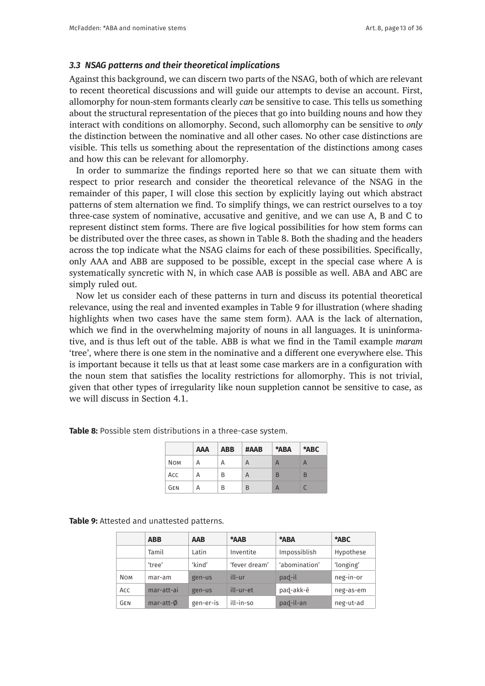#### *3.3 NSAG patterns and their theoretical implications*

Against this background, we can discern two parts of the NSAG, both of which are relevant to recent theoretical discussions and will guide our attempts to devise an account. First, allomorphy for noun-stem formants clearly *can* be sensitive to case. This tells us something about the structural representation of the pieces that go into building nouns and how they interact with conditions on allomorphy. Second, such allomorphy can be sensitive to *only*  the distinction between the nominative and all other cases. No other case distinctions are visible. This tells us something about the representation of the distinctions among cases and how this can be relevant for allomorphy.

In order to summarize the findings reported here so that we can situate them with respect to prior research and consider the theoretical relevance of the NSAG in the remainder of this paper, I will close this section by explicitly laying out which abstract patterns of stem alternation we find. To simplify things, we can restrict ourselves to a toy three-case system of nominative, accusative and genitive, and we can use A, B and C to represent distinct stem forms. There are five logical possibilities for how stem forms can be distributed over the three cases, as shown in Table 8. Both the shading and the headers across the top indicate what the NSAG claims for each of these possibilities. Specifically, only AAA and ABB are supposed to be possible, except in the special case where A is systematically syncretic with N, in which case AAB is possible as well. ABA and ABC are simply ruled out.

Now let us consider each of these patterns in turn and discuss its potential theoretical relevance, using the real and invented examples in Table 9 for illustration (where shading highlights when two cases have the same stem form). AAA is the lack of alternation, which we find in the overwhelming majority of nouns in all languages. It is uninformative, and is thus left out of the table. ABB is what we find in the Tamil example *maram* 'tree', where there is one stem in the nominative and a different one everywhere else. This is important because it tells us that at least some case markers are in a configuration with the noun stem that satisfies the locality restrictions for allomorphy. This is not trivial, given that other types of irregularity like noun suppletion cannot be sensitive to case, as we will discuss in Section 4.1.

|            | <b>AAA</b> | <b>ABB</b> | #AAB | *ABA                      | *ABC |
|------------|------------|------------|------|---------------------------|------|
| <b>NOM</b> | А          | Α          | A    | А                         | А    |
| Acc        | А          | B          | A    | B                         | B    |
| <b>GEN</b> | А          | B          | B    | $\boldsymbol{\mathsf{H}}$ |      |

**Table 8:** Possible stem distributions in a three-case system.

**Table 9:** Attested and unattested patterns.

|            | <b>ABB</b>     | <b>AAB</b> | *AAB          | *ABA          | *ABC      |
|------------|----------------|------------|---------------|---------------|-----------|
|            | Tamil          | Latin      | Inventite     | Impossiblish  | Hypothese |
|            | 'tree'         | 'kind'     | 'fever dream' | 'abomination' | 'longing' |
| <b>NOM</b> | mar-am         | gen-us     | ill-ur        | pad-il        | neg-in-or |
| Acc        | mar-att-ai     | gen-us     | ill-ur-et     | pad-akk-ē     | neg-as-em |
| GEN        | $mar-att-\phi$ | gen-er-is  | ill-in-so     | pad-il-an     | neg-ut-ad |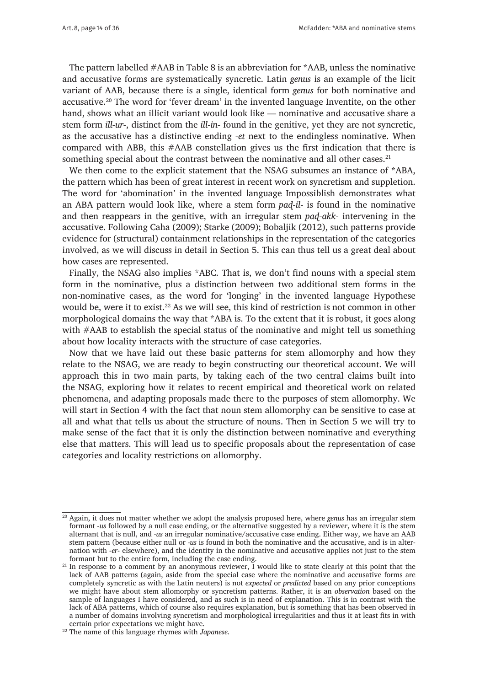The pattern labelled  $#AAB$  in Table 8 is an abbreviation for  $*AAB$ , unless the nominative and accusative forms are systematically syncretic. Latin *genus* is an example of the licit variant of AAB, because there is a single, identical form *genus* for both nominative and accusative.20 The word for 'fever dream' in the invented language Inventite, on the other hand, shows what an illicit variant would look like — nominative and accusative share a stem form *ill-ur-*, distinct from the *ill-in-* found in the genitive, yet they are not syncretic, as the accusative has a distinctive ending *-et* next to the endingless nominative. When compared with ABB, this #AAB constellation gives us the first indication that there is something special about the contrast between the nominative and all other cases. $^{21}$ 

We then come to the explicit statement that the NSAG subsumes an instance of \*ABA, the pattern which has been of great interest in recent work on syncretism and suppletion. The word for 'abomination' in the invented language Impossiblish demonstrates what an ABA pattern would look like, where a stem form *paɖ-il-* is found in the nominative and then reappears in the genitive, with an irregular stem *paɖ-akk-* intervening in the accusative. Following Caha (2009); Starke (2009); Bobaljik (2012), such patterns provide evidence for (structural) containment relationships in the representation of the categories involved, as we will discuss in detail in Section 5. This can thus tell us a great deal about how cases are represented.

Finally, the NSAG also implies \*ABC. That is, we don't find nouns with a special stem form in the nominative, plus a distinction between two additional stem forms in the non-nominative cases, as the word for 'longing' in the invented language Hypothese would be, were it to exist.<sup>22</sup> As we will see, this kind of restriction is not common in other morphological domains the way that \*ABA is. To the extent that it is robust, it goes along with #AAB to establish the special status of the nominative and might tell us something about how locality interacts with the structure of case categories.

Now that we have laid out these basic patterns for stem allomorphy and how they relate to the NSAG, we are ready to begin constructing our theoretical account. We will approach this in two main parts, by taking each of the two central claims built into the NSAG, exploring how it relates to recent empirical and theoretical work on related phenomena, and adapting proposals made there to the purposes of stem allomorphy. We will start in Section 4 with the fact that noun stem allomorphy can be sensitive to case at all and what that tells us about the structure of nouns. Then in Section 5 we will try to make sense of the fact that it is only the distinction between nominative and everything else that matters. This will lead us to specific proposals about the representation of case categories and locality restrictions on allomorphy.

<sup>20</sup> Again, it does not matter whether we adopt the analysis proposed here, where *genus* has an irregular stem formant *-us* followed by a null case ending, or the alternative suggested by a reviewer, where it is the stem alternant that is null, and *-us* an irregular nominative/accusative case ending. Either way, we have an AAB stem pattern (because either null or *-us* is found in both the nominative and the accusative, and is in alternation with *-er-* elsewhere), and the identity in the nominative and accusative applies not just to the stem formant but to the entire form, including the case ending.

<sup>&</sup>lt;sup>21</sup> In response to a comment by an anonymous reviewer, I would like to state clearly at this point that the lack of AAB patterns (again, aside from the special case where the nominative and accusative forms are completely syncretic as with the Latin neuters) is not *expected* or *predicted* based on any prior conceptions we might have about stem allomorphy or syncretism patterns. Rather, it is an *observation* based on the sample of languages I have considered, and as such is in need of explanation. This is in contrast with the lack of ABA patterns, which of course also requires explanation, but is something that has been observed in a number of domains involving syncretism and morphological irregularities and thus it at least fits in with certain prior expectations we might have.

<sup>22</sup> The name of this language rhymes with *Japanese*.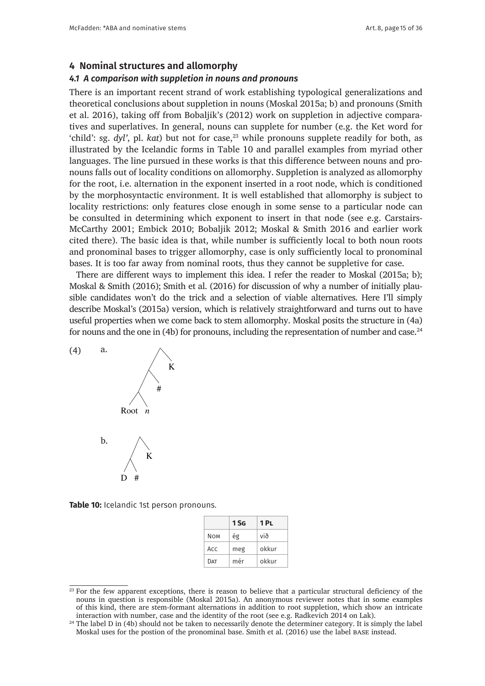#### **4 Nominal structures and allomorphy**

#### *4.1 A comparison with suppletion in nouns and pronouns*

There is an important recent strand of work establishing typological generalizations and theoretical conclusions about suppletion in nouns (Moskal 2015a; b) and pronouns (Smith et al. 2016), taking off from Bobaljik's (2012) work on suppletion in adjective comparatives and superlatives. In general, nouns can supplete for number (e.g. the Ket word for 'child': sg.  $dyl'$ , pl.  $kat$ ) but not for case,  $23$  while pronouns supplete readily for both, as illustrated by the Icelandic forms in Table 10 and parallel examples from myriad other languages. The line pursued in these works is that this difference between nouns and pronouns falls out of locality conditions on allomorphy. Suppletion is analyzed as allomorphy for the root, i.e. alternation in the exponent inserted in a root node, which is conditioned by the morphosyntactic environment. It is well established that allomorphy is subject to locality restrictions: only features close enough in some sense to a particular node can be consulted in determining which exponent to insert in that node (see e.g. Carstairs-McCarthy 2001; Embick 2010; Bobaljik 2012; Moskal & Smith 2016 and earlier work cited there). The basic idea is that, while number is sufficiently local to both noun roots and pronominal bases to trigger allomorphy, case is only sufficiently local to pronominal bases. It is too far away from nominal roots, thus they cannot be suppletive for case. outs tans out of focality conditions on only the morphosymature chynomicht, it is wen established that anomorph determining the insert in the insert in the insert in the node of the node of the node of the carstairs-McCarthy 2001; Carthy 2001; Carthy 2001; Carthy 2001; Carthy 2001; Carthy 2001; Carthy 2001; Carthy 2001; Carthy 2001; on<br>A consulted in determining which exponent to insert in that node (see determine in accomming which exponent to insert in that node (see e.g. Carstan in the Carthy 2001; Carstan in<br>McCarthy 2001; Embiol: 2010; Boboliil: 2012; Mooltal & Smith 2016; an Example 2001; Embick 2010; Bobaljik 2012; Moskal & Smith 2010 and<br>itself kana). The hasia idea is that while number is well-ciently lacel to be  $T_{\text{total}}$  is the basic idea is that, while number is sufficiently local to both non-

There are different ways to implement this idea. I refer the reader to Moskal (2015a; b); Moskal & Smith (2016); Smith et al. (2016) for discussion of why a number of initially plausible candidates won't do the trick and a selection of viable alternatives. Here I'll simply describe Moskal's (2015a) version, which is relatively straightforward and turns out to have useful properties when we come back to stem allomorphy. Moskal posits the structure in (4a) for nouns and the one in (4b) for pronouns, including the representation of number and case.<sup>24</sup>



Table 10: Icelandic 1st person pronouns.

|            | $1$ SG | 1PL   |
|------------|--------|-------|
| <b>NOM</b> | ég     | við   |
| Acc        | meg    | okkur |
| DAT        | mér    | okkur |

<sup>&</sup>lt;sup>23</sup> For the few apparent exceptions, there is reason to believe that a particular structural deficiency of the nouns in question is responsible (Moskal 2015a). An anonymous reviewer notes that in some examples of this kind, there are stem-formant alternations in addition to root suppletion, which show an intricate interaction with number, case and the identity of the root (see e.g. Radkevich 2014 on Lak).

<sup>&</sup>lt;sup>24</sup> The label D in (4b) should not be taken to necessarily denote the determiner category. It is simply the label Moskal uses for the postion of the pronominal base. Smith et al. (2016) use the label base instead.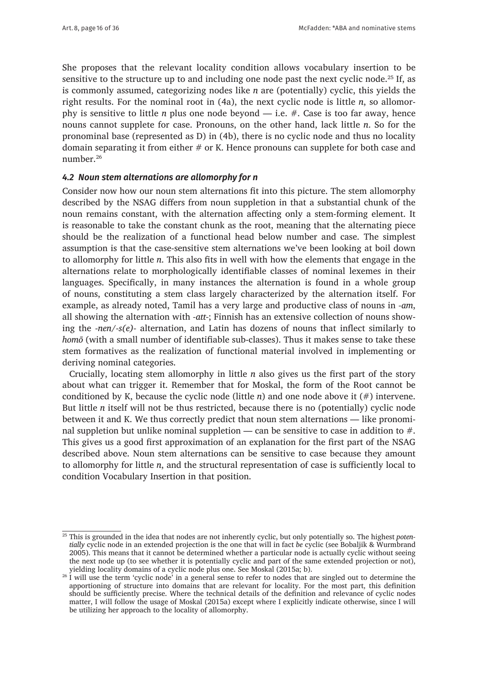She proposes that the relevant locality condition allows vocabulary insertion to be sensitive to the structure up to and including one node past the next cyclic node.<sup>25</sup> If, as is commonly assumed, categorizing nodes like *n* are (potentially) cyclic, this yields the right results. For the nominal root in (4a), the next cyclic node is little *n*, so allomorphy is sensitive to little *n* plus one node beyond — i.e. #. Case is too far away, hence nouns cannot supplete for case. Pronouns, on the other hand, lack little *n*. So for the pronominal base (represented as D) in (4b), there is no cyclic node and thus no locality domain separating it from either  $#$  or K. Hence pronouns can supplete for both case and number.26

## *4.2 Noun stem alternations are allomorphy for n*

Consider now how our noun stem alternations fit into this picture. The stem allomorphy described by the NSAG differs from noun suppletion in that a substantial chunk of the noun remains constant, with the alternation affecting only a stem-forming element. It is reasonable to take the constant chunk as the root, meaning that the alternating piece should be the realization of a functional head below number and case. The simplest assumption is that the case-sensitive stem alternations we've been looking at boil down to allomorphy for little *n*. This also fits in well with how the elements that engage in the alternations relate to morphologically identifiable classes of nominal lexemes in their languages. Specifically, in many instances the alternation is found in a whole group of nouns, constituting a stem class largely characterized by the alternation itself. For example, as already noted, Tamil has a very large and productive class of nouns in *-am*, all showing the alternation with *-att-*; Finnish has an extensive collection of nouns showing the *-nen/-s(e)-* alternation, and Latin has dozens of nouns that inflect similarly to *homō* (with a small number of identifiable sub-classes). Thus it makes sense to take these stem formatives as the realization of functional material involved in implementing or deriving nominal categories.

Crucially, locating stem allomorphy in little *n* also gives us the first part of the story about what can trigger it. Remember that for Moskal, the form of the Root cannot be conditioned by K, because the cyclic node (little *n*) and one node above it (#) intervene. But little *n* itself will not be thus restricted, because there is no (potentially) cyclic node between it and K. We thus correctly predict that noun stem alternations — like pronominal suppletion but unlike nominal suppletion — can be sensitive to case in addition to  $\#$ . This gives us a good first approximation of an explanation for the first part of the NSAG described above. Noun stem alternations can be sensitive to case because they amount to allomorphy for little *n*, and the structural representation of case is sufficiently local to condition Vocabulary Insertion in that position.

<sup>25</sup> This is grounded in the idea that nodes are not inherently cyclic, but only potentially so. The highest *potentially* cyclic node in an extended projection is the one that will in fact *be* cyclic (see Bobaljik & Wurmbrand 2005). This means that it cannot be determined whether a particular node is actually cyclic without seeing the next node up (to see whether it is potentially cyclic and part of the same extended projection or not), yielding locality domains of a cyclic node plus one. See Moskal (2015a; b).

<sup>&</sup>lt;sup>26</sup> I will use the term 'cyclic node' in a general sense to refer to nodes that are singled out to determine the apportioning of structure into domains that are relevant for locality. For the most part, this definition should be sufficiently precise. Where the technical details of the definition and relevance of cyclic nodes matter, I will follow the usage of Moskal (2015a) except where I explicitly indicate otherwise, since I will be utilizing her approach to the locality of allomorphy.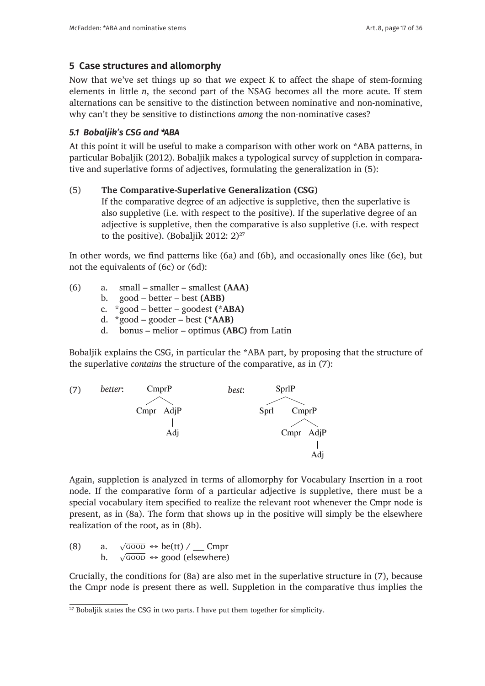# **5 Case structures and allomorphy**

Now that we've set things up so that we expect K to affect the shape of stem-forming elements in little *n*, the second part of the NSAG becomes all the more acute. If stem alternations can be sensitive to the distinction between nominative and non-nominative, why can't they be sensitive to distinctions *among* the non-nominative cases?

# *5.1 Bobaljik's CSG and \*ABA*

At this point it will be useful to make a comparison with other work on \*ABA patterns, in particular Bobaljik (2012). Bobaljik makes a typological survey of suppletion in comparative and superlative forms of adjectives, formulating the generalization in (5):

# (5) **The Comparative-Superlative Generalization (CSG)**

If the comparative degree of an adjective is suppletive, then the superlative is also suppletive (i.e. with respect to the positive). If the superlative degree of an adjective is suppletive, then the comparative is also suppletive (i.e. with respect to the positive). (Bobaljik 2012:  $2)^{27}$ 

In other words, we find patterns like (6a) and (6b), and occasionally ones like (6e), but not the equivalents of (6c) or (6d):

- (6) a. small smaller smallest **(AAA)**
	- b. good better best **(ABB)**
	- c. \*good better goodest **(\*ABA)**
	- d. \*good gooder best **(\*AAB)**
	- d. bonus melior optimus **(ABC)** from Latin

Bobaljik explains the CSG, in particular the \*ABA part, by proposing that the structure of the superlative *contains* the structure of the comparative, as in (7):



 $A = \begin{bmatrix} 1 & 1 & 1 & 1 \end{bmatrix}$ root node. If the comparative form of a particular adjective is suppleted in the must be must be must be must node. If the comparative form of a particular adjective is suppletive, there must be a special vocabulary item specified to realize the relevant root whenever the Cmpr node is present, as in (8a). The form that shows up in the positive will simply be the elsewhere node is prealization of the root, as in (8b).  $A$ gin, suppletion is analyzed in terms of allowing in terms of allowing insertion in allowing in allowing in allowing in a sertion in allowing in allowing in a sertion in a sertion in a sertion in a sertion in a sertion Again, suppletion is analyzed in terms of allomorphy for Vocabulary Insertion in a root  $\frac{1}{2}$  $b$  a specified to realize the root as in  $(8b)$ . node is present, as in (8a). The form that shows up in the positive will simply be the positive will simply be

a.  $\sqrt{\text{GOOD}} \leftrightarrow \text{be}(\text{tt}) / \underline{\text{Comp}}$ b.  $\sqrt{600D} \leftrightarrow \text{good (elsewhere)}$ (8) a. b.

 $\frac{1}{2}$ .  $\sqrt{321}$   $\frac{322}{202}$  (exempts)  $\sum_{i=1}^{n}$  is conditions to  $\sum_{i=1}^{n}$  (cap are also mot in the superlative of the superlative, thus ship node is present there as wen, supplement in the comparative  $\alpha$  indeed the superlative supplemental the superlative  $\alpha$ . It will now propose a supplemental  $\alpha$ . In the superpose and  $\alpha$ . In the supplemental  $\alpha$ . shout is present there as wen, supplement in the comparative thus because the Commons for Gas are also meen the superiative since  $\epsilon$  chipi node is present there as wen, suppletion in the compara crucially, the conditions for (8a) are also meet in the superlative structure in the superlative structure in the superlative in the superlative structure in the superlative in the superlative in the superlative in the sup the Cmpr node is present there as well. Suppletion in the comparative thus implies the Crucially, the conditions for (8a) are also met in the superlative structure in (7), because

<sup>5.2</sup> Caha's hierarchy and case containment implies the same suppletion in the superlative, deriving \*ABA. I will now propose a <sup>27</sup> Bobaljik states the CSG in two parts. I have put them together for simplicity.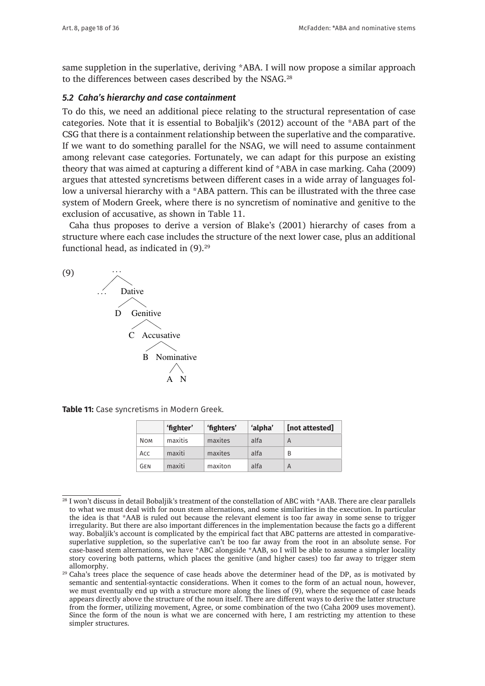same suppletion in the superlative, deriving \*ABA. I will now propose a similar approach to the differences between cases described by the NSAG.<sup>28</sup>

# 5.2 Caha's hierarchy and case containment

To do this, we need an additional piece relating to the structural representation of case categories. Note that it is essential to Bobaljik's (2012) account of the \*ABA part of the CSG that there is a containment relationship between the superlative and the comparative. If we want to do something parallel for the NSAG, we will need to assume containment among relevant case categories. Fortunately, we can adapt for this purpose an existing theory that was aimed at capturing a different kind of \*ABA in case marking. Caha (2009) argues that attested syncretisms between different cases in a wide array of languages follow a universal hierarchy with a \*ABA pattern. This can be illustrated with the three case system of Modern Greek, where there is no syncretism of nominative and genitive to the exclusion of accusative, as shown in Table 11.

Caha thus proposes to derive a version of Blake's (2001) hierarchy of cases from a structure where each case includes the structure of the next lower case, plus an additional functional head, as indicated in  $(9).<sup>29</sup>$  $\mu$  thus proposes to derive a version of Blake's (2001) includely of cases from  $\mu$ a structure where each case includes the structure of the next lower case, plus



**Table 11:** Case syncretisms in Modern Greek.

|            | 'fighter' | 'fighters' | 'alpha' | [not attested] |
|------------|-----------|------------|---------|----------------|
| <b>NOM</b> | maxitis   | maxites    | alfa    | A              |
| Acc        | maxiti    | maxites    | alfa    | B              |
| <b>GEN</b> | maxiti    | maxiton    | alfa    | A              |

by semantic and sentential-syntactic considerations. When it comes to the form of an actual noun, <sup>28</sup> I won't discuss in detail Bobaljik's treatment of the constellation of ABC with \*AAB. There are clear parallels to what we must deal with for noun stem alternations, and some similarities in the execution. In particular the idea is that \*AAB is ruled out because the relevant element is too far away in some sense to trigger more the facts way. Bobaljik's account is complicated by the empirical fact that ABC patterns are attested in comparative-<br>way. Bobaljik's account is complicated by the empirical fact that ABC patterns are attested in comp any: *Boblayn's* account is complicated by the empirical fact that *n*Bo patterns are attested in complitative suppletion, so the superlative can't be too far away from the root in an absolute sense. For irregularity. But there are also important differences in the implementation because the facts go a different case-based stem alternations, we have \*ABC alongside \*AAB, so I will be able to assume a simpler locality story covering both patterns, which places the genitive (and higher cases) too far away to trigger stem allomorphy.

<sup>&</sup>lt;sup>29</sup> Caha's trees place the sequence of case heads above the determiner head of the DP, as is motivated by semantic and sentential-syntactic considerations. When it comes to the form of an actual noun, however, we must eventually end up with a structure more along the lines of (9), where the sequence of case heads appears directly above the structure of the noun itself. There are different ways to derive the latter structure from the former, utilizing movement, Agree, or some combination of the two (Caha 2009 uses movement). Since the form of the noun is what we are concerned with here, I am restricting my attention to these simpler structures.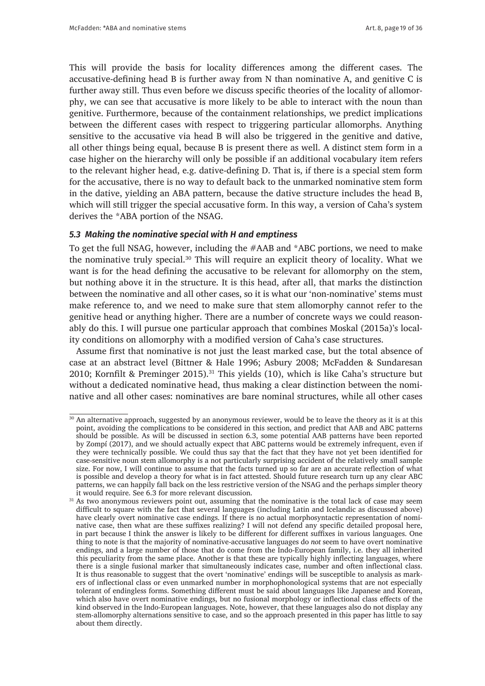This will provide the basis for locality differences among the different cases. The accusative-defining head B is further away from N than nominative A, and genitive C is further away still. Thus even before we discuss specific theories of the locality of allomorphy, we can see that accusative is more likely to be able to interact with the noun than genitive. Furthermore, because of the containment relationships, we predict implications between the different cases with respect to triggering particular allomorphs. Anything sensitive to the accusative via head B will also be triggered in the genitive and dative, all other things being equal, because B is present there as well. A distinct stem form in a case higher on the hierarchy will only be possible if an additional vocabulary item refers to the relevant higher head, e.g. dative-defining D. That is, if there is a special stem form for the accusative, there is no way to default back to the unmarked nominative stem form in the dative, yielding an ABA pattern, because the dative structure includes the head B, which will still trigger the special accusative form. In this way, a version of Caha's system derives the \*ABA portion of the NSAG.

#### *5.3 Making the nominative special with H and emptiness*

To get the full NSAG, however, including the #AAB and \*ABC portions, we need to make the nominative truly special.30 This will require an explicit theory of locality. What we want is for the head defining the accusative to be relevant for allomorphy on the stem, but nothing above it in the structure. It is this head, after all, that marks the distinction between the nominative and all other cases, so it is what our 'non-nominative' stems must make reference to, and we need to make sure that stem allomorphy cannot refer to the genitive head or anything higher. There are a number of concrete ways we could reasonably do this. I will pursue one particular approach that combines Moskal (2015a)'s locality conditions on allomorphy with a modified version of Caha's case structures.

Assume first that nominative is not just the least marked case, but the total absence of case at an abstract level (Bittner & Hale 1996; Asbury 2008; McFadden & Sundaresan 2010; Kornfilt & Preminger 2015).<sup>31</sup> This yields (10), which is like Caha's structure but without a dedicated nominative head, thus making a clear distinction between the nominative and all other cases: nominatives are bare nominal structures, while all other cases

<sup>&</sup>lt;sup>30</sup> An alternative approach, suggested by an anonymous reviewer, would be to leave the theory as it is at this point, avoiding the complications to be considered in this section, and predict that AAB and ABC patterns should be possible. As will be discussed in section 6.3, some potential AAB patterns have been reported by Zompí (2017), and we should actually expect that ABC patterns would be extremely infrequent, even if they were technically possible. We could thus say that the fact that they have not yet been identified for case-sensitive noun stem allomorphy is a not particularly surprising accident of the relatively small sample size. For now, I will continue to assume that the facts turned up so far are an accurate reflection of what is possible and develop a theory for what is in fact attested. Should future research turn up any clear ABC patterns, we can happily fall back on the less restrictive version of the NSAG and the perhaps simpler theory it would require. See 6.3 for more relevant discussion.

<sup>&</sup>lt;sup>31</sup> As two anonymous reviewers point out, assuming that the nominative is the total lack of case may seem difficult to square with the fact that several languages (including Latin and Icelandic as discussed above) have clearly overt nominative case endings. If there is no actual morphosyntactic representation of nominative case, then what are these suffixes realizing? I will not defend any specific detailed proposal here, in part because I think the answer is likely to be different for different suffixes in various languages. One thing to note is that the majority of nominative-accusative languages do *not* seem to have overt nominative endings, and a large number of those that do come from the Indo-European family, i.e. they all inherited this peculiarity from the same place. Another is that these are typically highly inflecting languages, where there is a single fusional marker that simultaneously indicates case, number and often inflectional class. It is thus reasonable to suggest that the overt 'nominative' endings will be susceptible to analysis as markers of inflectional class or even unmarked number in morphophonological systems that are not especially tolerant of endingless forms. Something different must be said about languages like Japanese and Korean, which also have overt nominative endings, but no fusional morphology or inflectional class effects of the kind observed in the Indo-European languages. Note, however, that these languages also do not display any stem-allomorphy alternations sensitive to case, and so the approach presented in this paper has little to say about them directly.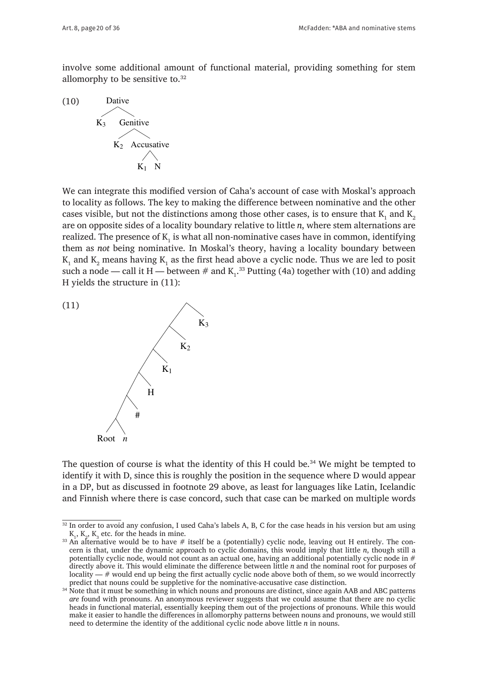involve some additional amount of functional material, providing something for stem allomorphy to be sensitive to.<sup>32</sup> distinction between the nominative and all other cases: nominatives are bare nominivolve some additional amount of functional material, providing some



 $W$  can integrate the modified version of case with  $\alpha$ We can integrate this modified version of Caha's account of case with Moskal's approach to locality as follows. The key to making the difference between nominative and the other cases visible, but not the distinctions among those other cases, is to ensure that  $K_1$  and  $K_2$ are on opposite sides of a locality boundary relative to little *n*, where stem alternations are realized. The presence of  $\mathrm{K}_\mathrm{l}$  is what all non-nominative cases have in common, identifying them as *not* being nominative. In Moskal's theory, having a locality boundary between  $K_1$  and  $K_2$  means having  $K_1$  as the first head above a cyclic node. Thus we are led to posit such a node — call it H — between # and  $K_1$ .<sup>33</sup> Putting (4a) together with (10) and adding H vields the structure in (11): H yields the structure in  $(11)$ :



The question of course is what the identity of this H could be.34 We might be the question of course is what the hemity of this if could be. We finglif be  $\frac{1}{2}$ identify it with D, since this is roughly the position in the sequence where D would appear in the sequence where D would appear in a DP, but as discussed in footnote 29 above, as least for languages like Latin, Icelandic<br>case can be also calculated in the case of languages like Latin, Icelandic and Finnish where there is case concord, such that case can be marked on multiple words The question of course is what the identity of this H could be.<sup>34</sup> We might be tempted to

<sup>32</sup> In order to avoid any confusion, I used Caha's labels A, B, C for the case heads in his version but am using  $K_1, K_2, K_3$  etc. for the heads in mine.

 $K_1, K_2, K_3$  etc. for the heads in mine.<br><sup>33</sup> An alternative would be to have # itself be a (potentially) cyclic node, leaving out H entirely. The con-For the same words be to have  $\pi$  identical definition of sufficient and sufficient articles. The form of the form of  $\alpha$  (potentially) cyclic flower, though still as cern is that, under the dynamic approach to cyclic d potentially cyclic node, would not count as an actual one, having an additional potentially cyclic node in # directly above it. This would eilminate the difference between little *n* and the nominal root for purposes of locality —  $\#$  would end up being the first actually cyclic node above both of them, so we would incorrectly predict that nouns could be suppletive for the nominative-accusative case distinction. directly above it. This would eliminate the difference between little *n* and the nominal root for purposes of

<sup>&</sup>lt;sup>34</sup> Note that it must be something in which nouns and pronouns are distinct, since again AAB and ABC patterns heads in functional material, essentially keeping them out of the projections of pronouns. While this would make it easier to handle the differences in allomorphy patterns between nouns and pronouns, we would still make that it easier that it is a difference in a structure of the still make the state of the still make the state need to determine the identity of the additional cyclic node above little *n* in nouns. *are* found with pronouns. An anonymous reviewer suggests that we could assume that there are no cyclic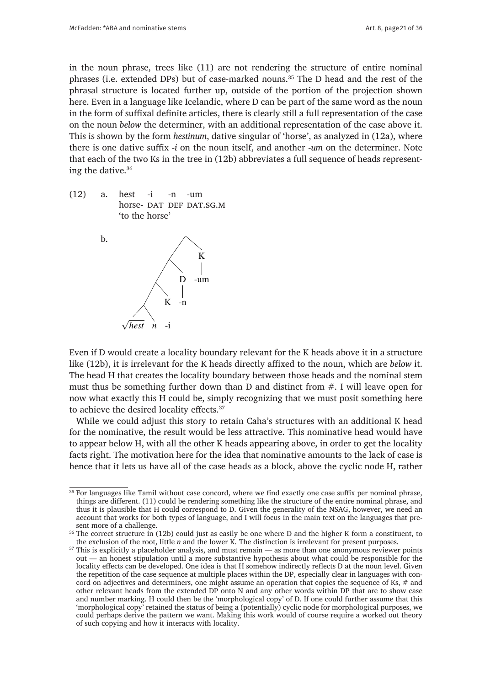in the noun phrase, trees like (11) are not rendering the structure of entire nominal phrases (i.e. extended DPs) but of case-marked nouns.35 The D head and the rest of the phrasal structure is located further up, outside of the portion of the projection shown here. Even in a language like Icelandic, where D can be part of the same word as the noun in the form of suffixal definite articles, there is clearly still a full representation of the case on the noun *below* the determiner, with an additional representation of the case above it. This is shown by the form *hestinum*, dative singular of 'horse', as analyzed in (12a), where there is one dative suffix *-i* on the noun itself, and another *-um* on the determiner. Note that each of the two Ks in the tree in (12b) abbreviates a full sequence of heads representing the dative. $36$ dative.<sup>36</sup>

(12) a. hest -i -n -um horse- DAT DEF DAT.SG.M 'to the horse'  $(12)$  d.  $112$  $\frac{1}{2}$   $\frac{1}{2}$   $\frac{1}{2}$   $\frac{1}{2}$   $\frac{1}{2}$   $\frac{1}{2}$   $\frac{1}{2}$   $\frac{1}{2}$   $\frac{1}{2}$   $\frac{1}{2}$   $\frac{1}{2}$   $\frac{1}{2}$   $\frac{1}{2}$   $\frac{1}{2}$   $\frac{1}{2}$   $\frac{1}{2}$   $\frac{1}{2}$   $\frac{1}{2}$   $\frac{1}{2}$   $\frac{1}{2}$   $\frac{1}{2}$   $\frac{1}{2}$   $\frac{-1}{\cdot}$   $\frac{-11}{\cdot}$   $\frac{-11}{\cdot}$  $F$  DAT.SG.



Even if D would create a locality boundary relevant for the K heads above it in a Even if D would create a locality boundary relevant for the K heads above it in a structure like (12b), it is irrelevant for the K heads directly affixed to the noun, which are *below* it. The head H that creates the locality boundary between those heads and the nominal stem must thus be something further down than D and distinct from  $#$ . I will leave open for now what exactly this H could be, simply recognizing that we must posit something here to achieve the desired locality effects. $37$ 

While we could adjust this story to retain Caha's structures with an additional K head for the nominative, the result would be less attractive. This nominative head would have to appear below H, with all the other K heads appearing above, in order to get the locality facts right. The motivation here for the idea that nominative amounts to the lack of case is hence that it lets us have all of the case heads as a block, above the cyclic node H, rather

 $\frac{1}{35}$  For languages like Tamil without case concord, where we find exactly one case suffix per nominal phrase, thus it is plausible that H could correspond to D. Given the generality of the NSAG, however, we need an thus it is plausible that H could correspond to D. Given the generality of the NSAG, however, we need an account that works for both types of language, and I will focus in the main text on the languages that present more of a challenge. things are different. (11) could be rendering something like the structure of the entire nominal phrase, and

 $36$  The correct structure in (12b) could just as easily be one where D and the higher K form a constituent, to the exclusion of the root, little *n* and the lower K. The distinction is irrelevant for present purposes.

<sup>&</sup>lt;sup>37</sup> This is explicitly a placeholder analysis, and must remain — as more than one anonymous reviewer points  $\frac{1}{2}$ out — an nonest supulation that a more substantive hypothesis about what could be responsible for the locality effects can be developed. One idea is that H somehow indirectly reflects D at the noun level. Given the repetition of the case sequence at multiple places within the DP, especially clear in languages with con-<br>the repetition of the case sequence at multiple places within the DP, especially clear in languages with concord on adjectives and determiners, one might assume an operation that copies the sequence of Ks,  $\#$  and other relevant heads from the extended DP onto N and any other words within DP that are to show case and number marking. H could then be the 'morphological copy' of D. If one could further assume that this 'morphological copy' retained the status of being a (potentially) cyclic node for morphological purposes, we out — an honest stipulation until a more substantive hypothesis about what could be responsible for the could perhaps derive the pattern we want. Making this work would of course require a worked out theory of such copying and how it interacts with locality.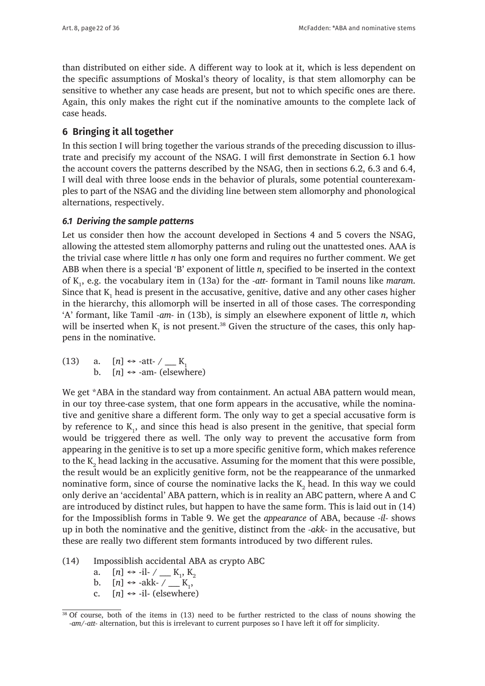than distributed on either side. A different way to look at it, which is less dependent on the specific assumptions of Moskal's theory of locality, is that stem allomorphy can be sensitive to whether any case heads are present, but not to which specific ones are there. Again, this only makes the right cut if the nominative amounts to the complete lack of case heads.

## **6 Bringing it all together**

In this section I will bring together the various strands of the preceding discussion to illustrate and precisify my account of the NSAG. I will first demonstrate in Section 6.1 how the account covers the patterns described by the NSAG, then in sections 6.2, 6.3 and 6.4, I will deal with three loose ends in the behavior of plurals, some potential counterexamples to part of the NSAG and the dividing line between stem allomorphy and phonological alternations, respectively.

### *6.1 Deriving the sample patterns*

Let us consider then how the account developed in Sections 4 and 5 covers the NSAG, allowing the attested stem allomorphy patterns and ruling out the unattested ones. AAA is the trivial case where little *n* has only one form and requires no further comment. We get ABB when there is a special 'B' exponent of little *n*, specified to be inserted in the context of K<sup>1</sup> , e.g. the vocabulary item in (13a) for the *-att-* formant in Tamil nouns like *maram*. Since that  $K_1$  head is present in the accusative, genitive, dative and any other cases higher in the hierarchy, this allomorph will be inserted in all of those cases. The corresponding 'A' formant, like Tamil *-am-* in (13b), is simply an elsewhere exponent of little *n*, which will be inserted when  $K_1$  is not present.<sup>38</sup> Given the structure of the cases, this only happens in the nominative.

(13) a.  $[n] \leftrightarrow \text{-att-} \ / \ \_\_K$ <br>b.  $[n] \leftrightarrow \text{-am-}$  (elsew)  $[n] \leftrightarrow -am$ - (elsewhere)

We get \*ABA in the standard way from containment. An actual ABA pattern would mean, in our toy three-case system, that one form appears in the accusative, while the nominative and genitive share a different form. The only way to get a special accusative form is by reference to  $K_{1}$ , and since this head is also present in the genitive, that special form would be triggered there as well. The only way to prevent the accusative form from appearing in the genitive is to set up a more specific genitive form, which makes reference to the  $\mathrm{K}_2$  head lacking in the accusative. Assuming for the moment that this were possible, the result would be an explicitly genitive form, not be the reappearance of the unmarked nominative form, since of course the nominative lacks the  $\mathrm{K}_2$  head. In this way we could only derive an 'accidental' ABA pattern, which is in reality an ABC pattern, where A and C are introduced by distinct rules, but happen to have the same form. This is laid out in (14) for the Impossiblish forms in Table 9. We get the *appearance* of ABA, because *-il-* shows up in both the nominative and the genitive, distinct from the *-akk-* in the accusative, but these are really two different stem formants introduced by two different rules.

- (14) Impossiblish accidental ABA as crypto ABC
	- a.  $[n] \leftrightarrow -i$ .  $K_1, K_2$
	- b.  $[n] \leftrightarrow -\text{akk-} \quad \underline{K}_1,$
	- c.  $[n] \leftrightarrow -i$ -il- (elsewhere)

<sup>38</sup> Of course, both of the items in (13) need to be further restricted to the class of nouns showing the *-am/-att-* alternation, but this is irrelevant to current purposes so I have left it off for simplicity.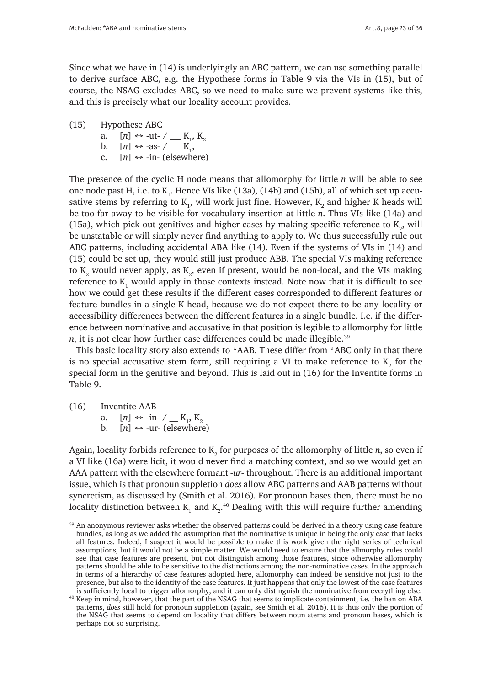Since what we have in (14) is underlyingly an ABC pattern, we can use something parallel to derive surface ABC, e.g. the Hypothese forms in Table 9 via the VIs in (15), but of course, the NSAG excludes ABC, so we need to make sure we prevent systems like this, and this is precisely what our locality account provides.

(15) Hypothese ABC

a. 
$$
[n] \leftrightarrow -\text{ut-} \ / \_\_\_\ K_1
$$
,  $K_2$ 

- b.  $[n] \leftrightarrow -as(-1, -1)$
- c.  $[n] \leftrightarrow -in$  (elsewhere)

The presence of the cyclic H node means that allomorphy for little *n* will be able to see one node past H, i.e. to  $\text{K} _{\text{i}}$ . Hence VIs like (13a), (14b) and (15b), all of which set up accusative stems by referring to  $\text{K}_{\text{l}}$ , will work just fine. However,  $\text{K}_{\text{2}}$  and higher K heads will be too far away to be visible for vocabulary insertion at little *n*. Thus VIs like (14a) and (15a), which pick out genitives and higher cases by making specific reference to  $K_{2}$ , will be unstatable or will simply never find anything to apply to. We thus successfully rule out ABC patterns, including accidental ABA like (14). Even if the systems of VIs in (14) and (15) could be set up, they would still just produce ABB. The special VIs making reference to  $K_2$  would never apply, as  $K_2$ , even if present, would be non-local, and the VIs making reference to  $K_{1}$  would apply in those contexts instead. Note now that it is difficult to see how we could get these results if the different cases corresponded to different features or feature bundles in a single K head, because we do not expect there to be any locality or accessibility differences between the different features in a single bundle. I.e. if the difference between nominative and accusative in that position is legible to allomorphy for little *n*, it is not clear how further case differences could be made illegible.<sup>39</sup>

This basic locality story also extends to \*AAB. These differ from \*ABC only in that there is no special accusative stem form, still requiring a VI to make reference to  $\mathrm{K}_2^{}$  for the special form in the genitive and beyond. This is laid out in (16) for the Inventite forms in Table 9.

(16) Inventite AAB

a.  $[n] \leftrightarrow -in-1$ ,  $K_1$ ,  $K_2$ 

b.  $[n] \leftrightarrow -\text{ur-}$  (elsewhere)

Again, locality forbids reference to  $\mathrm{K}_2$  for purposes of the allomorphy of little *n*, so even if a VI like (16a) were licit, it would never find a matching context, and so we would get an AAA pattern with the elsewhere formant *-ur-* throughout. There is an additional important issue, which is that pronoun suppletion *does* allow ABC patterns and AAB patterns without syncretism, as discussed by (Smith et al. 2016). For pronoun bases then, there must be no locality distinction between K<sub>1</sub> and K<sub>2</sub>.<sup>40</sup> Dealing with this will require further amending

<sup>&</sup>lt;sup>39</sup> An anonymous reviewer asks whether the observed patterns could be derived in a theory using case feature bundles, as long as we added the assumption that the nominative is unique in being the only case that lacks all features. Indeed, I suspect it would be possible to make this work given the right series of technical assumptions, but it would not be a simple matter. We would need to ensure that the allmorphy rules could see that case features are present, but not distinguish among those features, since otherwise allomorphy patterns should be able to be sensitive to the distinctions among the non-nominative cases. In the approach in terms of a hierarchy of case features adopted here, allomorphy can indeed be sensitive not just to the presence, but also to the identity of the case features. It just happens that only the lowest of the case features is sufficiently local to trigger allomorphy, and it can only distinguish the nominative from everything else.

<sup>40</sup> Keep in mind, however, that the part of the NSAG that seems to implicate containment, i.e. the ban on ABA patterns, *does* still hold for pronoun suppletion (again, see Smith et al. 2016). It is thus only the portion of the NSAG that seems to depend on locality that differs between noun stems and pronoun bases, which is perhaps not so surprising.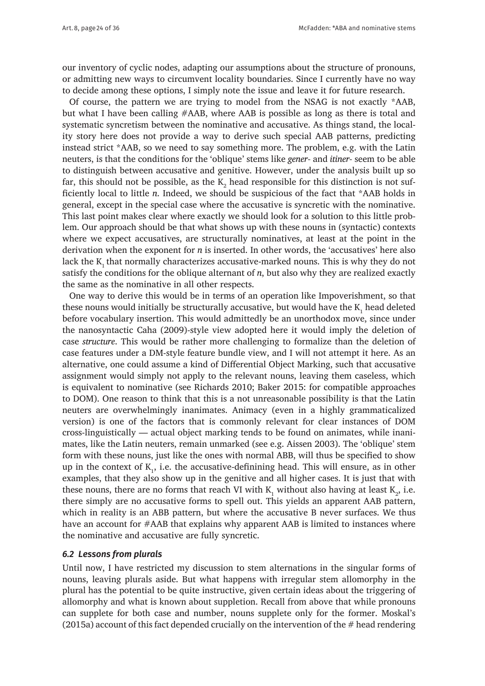our inventory of cyclic nodes, adapting our assumptions about the structure of pronouns, or admitting new ways to circumvent locality boundaries. Since I currently have no way to decide among these options, I simply note the issue and leave it for future research.

Of course, the pattern we are trying to model from the NSAG is not exactly \*AAB, but what I have been calling #AAB, where AAB is possible as long as there is total and systematic syncretism between the nominative and accusative. As things stand, the locality story here does not provide a way to derive such special AAB patterns, predicting instead strict \*AAB, so we need to say something more. The problem, e.g. with the Latin neuters, is that the conditions for the 'oblique' stems like *gener-* and *itiner-* seem to be able to distinguish between accusative and genitive. However, under the analysis built up so far, this should not be possible, as the  $\mathrm{K}_2$  head responsible for this distinction is not sufficiently local to little *n*. Indeed, we should be suspicious of the fact that \*AAB holds in general, except in the special case where the accusative is syncretic with the nominative. This last point makes clear where exactly we should look for a solution to this little problem. Our approach should be that what shows up with these nouns in (syntactic) contexts where we expect accusatives, are structurally nominatives, at least at the point in the derivation when the exponent for *n* is inserted. In other words, the 'accusatives' here also lack the  $K_1$  that normally characterizes accusative-marked nouns. This is why they do not satisfy the conditions for the oblique alternant of *n*, but also why they are realized exactly the same as the nominative in all other respects.

One way to derive this would be in terms of an operation like Impoverishment, so that these nouns would initially be structurally accusative, but would have the  $\mathrm{K}_\mathrm{l}$  head deleted before vocabulary insertion. This would admittedly be an unorthodox move, since under the nanosyntactic Caha (2009)-style view adopted here it would imply the deletion of case *structure*. This would be rather more challenging to formalize than the deletion of case features under a DM-style feature bundle view, and I will not attempt it here. As an alternative, one could assume a kind of Differential Object Marking, such that accusative assignment would simply not apply to the relevant nouns, leaving them caseless, which is equivalent to nominative (see Richards 2010; Baker 2015: for compatible approaches to DOM). One reason to think that this is a not unreasonable possibility is that the Latin neuters are overwhelmingly inanimates. Animacy (even in a highly grammaticalized version) is one of the factors that is commonly relevant for clear instances of DOM cross-linguistically — actual object marking tends to be found on animates, while inanimates, like the Latin neuters, remain unmarked (see e.g. Aissen 2003). The 'oblique' stem form with these nouns, just like the ones with normal ABB, will thus be specified to show up in the context of  $K_{1}$ , i.e. the accusative-definining head. This will ensure, as in other examples, that they also show up in the genitive and all higher cases. It is just that with these nouns, there are no forms that reach VI with  $K_1$  without also having at least  $K_2$ , i.e. there simply are no accusative forms to spell out. This yields an apparent AAB pattern, which in reality is an ABB pattern, but where the accusative B never surfaces. We thus have an account for #AAB that explains why apparent AAB is limited to instances where the nominative and accusative are fully syncretic.

### *6.2 Lessons from plurals*

Until now, I have restricted my discussion to stem alternations in the singular forms of nouns, leaving plurals aside. But what happens with irregular stem allomorphy in the plural has the potential to be quite instructive, given certain ideas about the triggering of allomorphy and what is known about suppletion. Recall from above that while pronouns can supplete for both case and number, nouns supplete only for the former. Moskal's (2015a) account of this fact depended crucially on the intervention of the  $#$  head rendering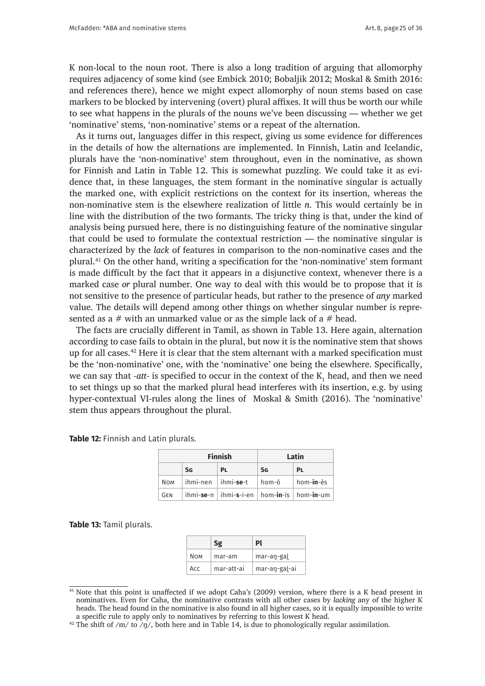K non-local to the noun root. There is also a long tradition of arguing that allomorphy requires adjacency of some kind (see Embick 2010; Bobaljik 2012; Moskal & Smith 2016: and references there), hence we might expect allomorphy of noun stems based on case markers to be blocked by intervening (overt) plural affixes. It will thus be worth our while to see what happens in the plurals of the nouns we've been discussing — whether we get 'nominative' stems, 'non-nominative' stems or a repeat of the alternation.

As it turns out, languages differ in this respect, giving us some evidence for differences in the details of how the alternations are implemented. In Finnish, Latin and Icelandic, plurals have the 'non-nominative' stem throughout, even in the nominative, as shown for Finnish and Latin in Table 12. This is somewhat puzzling. We could take it as evidence that, in these languages, the stem formant in the nominative singular is actually the marked one, with explicit restrictions on the context for its insertion, whereas the non-nominative stem is the elsewhere realization of little *n*. This would certainly be in line with the distribution of the two formants. The tricky thing is that, under the kind of analysis being pursued here, there is no distinguishing feature of the nominative singular that could be used to formulate the contextual restriction — the nominative singular is characterized by the *lack* of features in comparison to the non-nominative cases and the plural.<sup>41</sup> On the other hand, writing a specification for the 'non-nominative' stem formant is made difficult by the fact that it appears in a disjunctive context, whenever there is a marked case *or* plural number. One way to deal with this would be to propose that it is not sensitive to the presence of particular heads, but rather to the presence of *any* marked value. The details will depend among other things on whether singular number is represented as a  $#$  with an unmarked value or as the simple lack of a  $#$  head.

The facts are crucially different in Tamil, as shown in Table 13. Here again, alternation according to case fails to obtain in the plural, but now it is the nominative stem that shows up for all cases.<sup>42</sup> Here it is clear that the stem alternant with a marked specification must be the 'non-nominative' one, with the 'nominative' one being the elsewhere. Specifically, we can say that *-att-* is specified to occur in the context of the  $K_1$  head, and then we need to set things up so that the marked plural head interferes with its insertion, e.g. by using hyper-contextual VI-rules along the lines of Moskal & Smith (2016). The 'nominative' stem thus appears throughout the plural.

**Table 12:** Finnish and Latin plurals.

| <b>Finnish</b> |           | Latin                          |           |                                                 |
|----------------|-----------|--------------------------------|-----------|-------------------------------------------------|
|                | <b>SG</b> | PL                             | <b>SG</b> | <b>PL</b>                                       |
| Nom            |           | $ihmi-nen$ $\mid$ $ihmi$ -se-t | hom-ō     | hom- <b>in</b> -ēs                              |
| GEN            |           |                                |           | ihmi-se-n   ihmi-s-i-en   hom-in-is   hom-in-um |

**Table 13:** Tamil plurals.

|            |            | Pl            |
|------------|------------|---------------|
| <b>NOM</b> | mar-am     | mar-an-gal    |
| Acc        | mar-att-ai | mar-an-gal-ai |

<sup>&</sup>lt;sup>41</sup> Note that this point is unaffected if we adopt Caha's (2009) version, where there is a K head present in nominatives. Even for Caha, the nominative contrasts with all other cases by *lacking* any of the higher K heads. The head found in the nominative is also found in all higher cases, so it is equally impossible to write a specific rule to apply only to nominatives by referring to this lowest K head.

<sup>&</sup>lt;sup>42</sup> The shift of /m/ to  $\overline{y}$ , both here and in Table 14, is due to phonologically regular assimilation.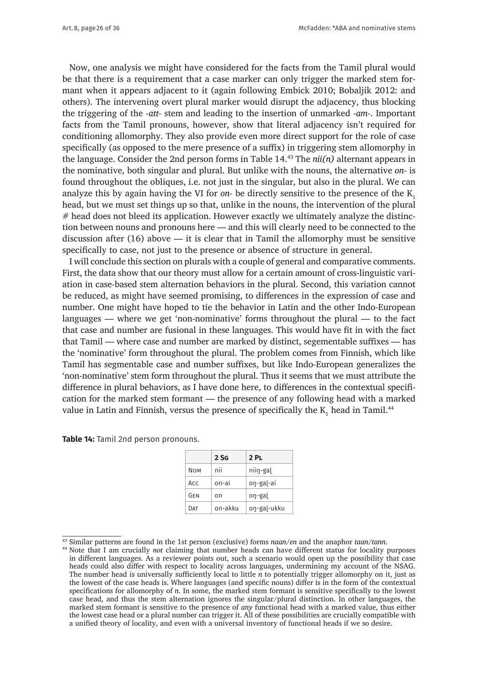Now, one analysis we might have considered for the facts from the Tamil plural would be that there is a requirement that a case marker can only trigger the marked stem formant when it appears adjacent to it (again following Embick 2010; Bobaljik 2012: and others). The intervening overt plural marker would disrupt the adjacency, thus blocking the triggering of the *-att-* stem and leading to the insertion of unmarked *-am-*. Important facts from the Tamil pronouns, however, show that literal adjacency isn't required for conditioning allomorphy. They also provide even more direct support for the role of case specifically (as opposed to the mere presence of a suffix) in triggering stem allomorphy in the language. Consider the 2nd person forms in Table 14.43 The *nii(n)* alternant appears in the nominative, both singular and plural. But unlike with the nouns, the alternative *on-* is found throughout the obliques, i.e. not just in the singular, but also in the plural. We can analyze this by again having the VI for *on*- be directly sensitive to the presence of the K<sub>1</sub> head, but we must set things up so that, unlike in the nouns, the intervention of the plural # head does not bleed its application. However exactly we ultimately analyze the distinction between nouns and pronouns here — and this will clearly need to be connected to the discussion after  $(16)$  above — it is clear that in Tamil the allomorphy must be sensitive specifically to case, not just to the presence or absence of structure in general.

I will conclude this section on plurals with a couple of general and comparative comments. First, the data show that our theory must allow for a certain amount of cross-linguistic variation in case-based stem alternation behaviors in the plural. Second, this variation cannot be reduced, as might have seemed promising, to differences in the expression of case and number. One might have hoped to tie the behavior in Latin and the other Indo-European languages — where we get 'non-nominative' forms throughout the plural — to the fact that case and number are fusional in these languages. This would have fit in with the fact that Tamil — where case and number are marked by distinct, segementable suffixes — has the 'nominative' form throughout the plural. The problem comes from Finnish, which like Tamil has segmentable case and number suffixes, but like Indo-European generalizes the 'non-nominative' stem form throughout the plural. Thus it seems that we must attribute the difference in plural behaviors, as I have done here, to differences in the contextual specification for the marked stem formant — the presence of any following head with a marked value in Latin and Finnish, versus the presence of specifically the  $\mathrm{K}_\mathrm{l}$  head in Tamil. $^{44}$ 

**Table 14:** Tamil 2nd person pronouns.

|             | 2S <sub>G</sub> | 2 PL        |
|-------------|-----------------|-------------|
| <b>NOM</b>  | nii             | niin-gal    |
| Acc         | on-ai           | on-gal-ai   |
| GFN         | on              | on-gal      |
| <b>D</b> ат | on-akku         | on-gal-ukku |

<sup>43</sup> Similar patterns are found in the 1st person (exclusive) forms *naan/en* and the anaphor *taan/tann*.

<sup>44</sup> Note that I am crucially *not* claiming that number heads can have different status for locality purposes in different languages. As a reviewer points out, such a scenario would open up the possibility that case heads could also differ with respect to locality across languages, undermining my account of the NSAG. The number head is universally sufficiently local to little *n* to potentially trigger allomorphy on it, just as the lowest of the case heads is. Where languages (and specific nouns) differ is in the form of the contextual specifications for allomorphy of *n*. In some, the marked stem formant is sensitive specifically to the lowest case head, and thus the stem alternation ignores the singular/plural distinction. In other languages, the marked stem formant is sensitive to the presence of *any* functional head with a marked value, thus either the lowest case head or a plural number can trigger it. All of these possibilities are crucially compatible with a unified theory of locality, and even with a universal inventory of functional heads if we so desire.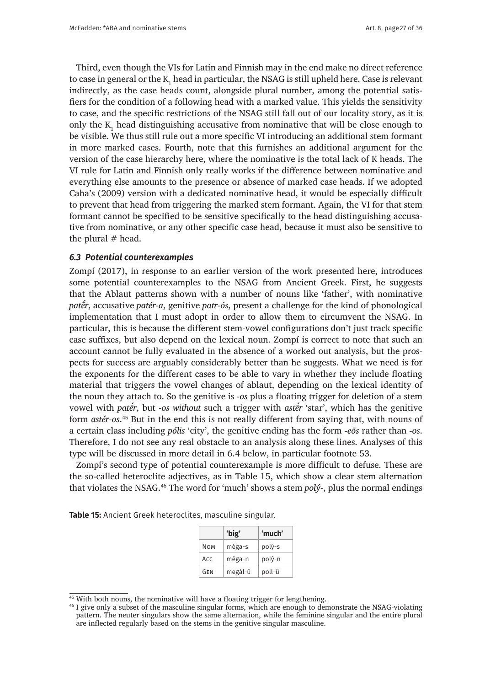Third, even though the VIs for Latin and Finnish may in the end make no direct reference to case in general or the  $\mathrm{K}_\mathrm{l}$  head in particular, the NSAG is still upheld here. Case is relevant indirectly, as the case heads count, alongside plural number, among the potential satisfiers for the condition of a following head with a marked value. This yields the sensitivity to case, and the specific restrictions of the NSAG still fall out of our locality story, as it is only the  $K_1$  head distinguishing accusative from nominative that will be close enough to be visible. We thus still rule out a more specific VI introducing an additional stem formant in more marked cases. Fourth, note that this furnishes an additional argument for the version of the case hierarchy here, where the nominative is the total lack of K heads. The VI rule for Latin and Finnish only really works if the difference between nominative and everything else amounts to the presence or absence of marked case heads. If we adopted Caha's (2009) version with a dedicated nominative head, it would be especially difficult to prevent that head from triggering the marked stem formant. Again, the VI for that stem formant cannot be specified to be sensitive specifically to the head distinguishing accusative from nominative, or any other specific case head, because it must also be sensitive to the plural  $#$  head.

#### *6.3 Potential counterexamples*

Zompí (2017), in response to an earlier version of the work presented here, introduces some potential counterexamples to the NSAG from Ancient Greek. First, he suggests that the Ablaut patterns shown with a number of nouns like 'father', with nominative *patḗr*, accusative *patér-a*, genitive *patr-ós*, present a challenge for the kind of phonological implementation that I must adopt in order to allow them to circumvent the NSAG. In particular, this is because the different stem-vowel configurations don't just track specific case suffixes, but also depend on the lexical noun. Zompí is correct to note that such an account cannot be fully evaluated in the absence of a worked out analysis, but the prospects for success are arguably considerably better than he suggests. What we need is for the exponents for the different cases to be able to vary in whether they include floating material that triggers the vowel changes of ablaut, depending on the lexical identity of the noun they attach to. So the genitive is *-os* plus a floating trigger for deletion of a stem vowel with *patḗr*, but *-os without* such a trigger with *astḗr* 'star', which has the genitive form *astér-os*. <sup>45</sup> But in the end this is not really different from saying that, with nouns of a certain class including *pólis* 'city', the genitive ending has the form *-eōs* rather than *-os*. Therefore, I do not see any real obstacle to an analysis along these lines. Analyses of this type will be discussed in more detail in 6.4 below, in particular footnote 53.

Zompí's second type of potential counterexample is more difficult to defuse. These are the so-called heteroclite adjectives, as in Table 15, which show a clear stem alternation that violates the NSAG.46 The word for 'much' shows a stem *polý-*, plus the normal endings

**Table 15:** Ancient Greek heteroclites, masculine singular.

|            | 'big'   | 'much' |
|------------|---------|--------|
| <b>NOM</b> | méga-s  | polý-s |
| ACC        | méga-n  | polý-n |
| GEN        | megál-ū | poll-û |

<sup>&</sup>lt;sup>45</sup> With both nouns, the nominative will have a floating trigger for lengthening.

<sup>&</sup>lt;sup>46</sup> I give only a subset of the masculine singular forms, which are enough to demonstrate the NSAG-violating pattern. The neuter singulars show the same alternation, while the feminine singular and the entire plural are inflected regularly based on the stems in the genitive singular masculine.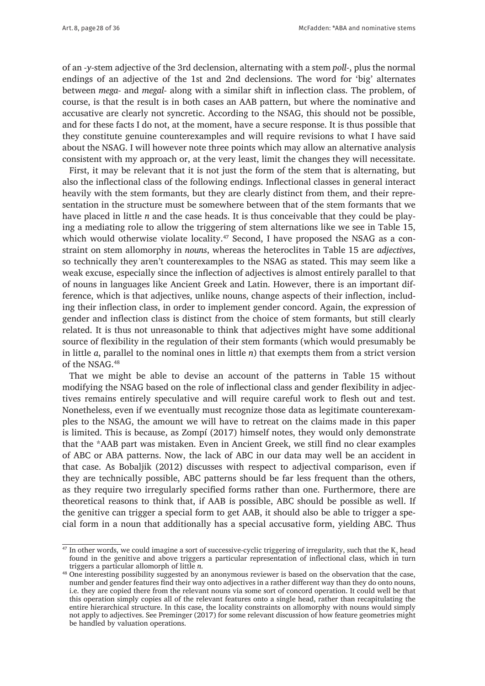of an *-y-*stem adjective of the 3rd declension, alternating with a stem *poll-*, plus the normal endings of an adjective of the 1st and 2nd declensions. The word for 'big' alternates between *mega-* and *megal-* along with a similar shift in inflection class. The problem, of course, is that the result is in both cases an AAB pattern, but where the nominative and accusative are clearly not syncretic. According to the NSAG, this should not be possible, and for these facts I do not, at the moment, have a secure response. It is thus possible that they constitute genuine counterexamples and will require revisions to what I have said about the NSAG. I will however note three points which may allow an alternative analysis consistent with my approach or, at the very least, limit the changes they will necessitate.

First, it may be relevant that it is not just the form of the stem that is alternating, but also the inflectional class of the following endings. Inflectional classes in general interact heavily with the stem formants, but they are clearly distinct from them, and their representation in the structure must be somewhere between that of the stem formants that we have placed in little *n* and the case heads. It is thus conceivable that they could be playing a mediating role to allow the triggering of stem alternations like we see in Table 15, which would otherwise violate locality.<sup>47</sup> Second, I have proposed the NSAG as a constraint on stem allomorphy in *nouns*, whereas the heteroclites in Table 15 are *adjectives*, so technically they aren't counterexamples to the NSAG as stated. This may seem like a weak excuse, especially since the inflection of adjectives is almost entirely parallel to that of nouns in languages like Ancient Greek and Latin. However, there is an important difference, which is that adjectives, unlike nouns, change aspects of their inflection, including their inflection class, in order to implement gender concord. Again, the expression of gender and inflection class is distinct from the choice of stem formants, but still clearly related. It is thus not unreasonable to think that adjectives might have some additional source of flexibility in the regulation of their stem formants (which would presumably be in little *a*, parallel to the nominal ones in little *n*) that exempts them from a strict version of the NSAG.<sup>48</sup>

That we might be able to devise an account of the patterns in Table 15 without modifying the NSAG based on the role of inflectional class and gender flexibility in adjectives remains entirely speculative and will require careful work to flesh out and test. Nonetheless, even if we eventually must recognize those data as legitimate counterexamples to the NSAG, the amount we will have to retreat on the claims made in this paper is limited. This is because, as Zompí (2017) himself notes, they would only demonstrate that the \*AAB part was mistaken. Even in Ancient Greek, we still find no clear examples of ABC or ABA patterns. Now, the lack of ABC in our data may well be an accident in that case. As Bobaljik (2012) discusses with respect to adjectival comparison, even if they are technically possible, ABC patterns should be far less frequent than the others, as they require two irregularly specified forms rather than one. Furthermore, there are theoretical reasons to think that, if AAB is possible, ABC should be possible as well. If the genitive can trigger a special form to get AAB, it should also be able to trigger a special form in a noun that additionally has a special accusative form, yielding ABC. Thus

<sup>&</sup>lt;sup>47</sup> In other words, we could imagine a sort of successive-cyclic triggering of irregularity, such that the  $K_2$  head found in the genitive and above triggers a particular representation of inflectional class, which in turn triggers a particular allomorph of little *n*.

<sup>48</sup> One interesting possibility suggested by an anonymous reviewer is based on the observation that the case, number and gender features find their way onto adjectives in a rather different way than they do onto nouns, i.e. they are copied there from the relevant nouns via some sort of concord operation. It could well be that this operation simply copies all of the relevant features onto a single head, rather than recapitulating the entire hierarchical structure. In this case, the locality constraints on allomorphy with nouns would simply not apply to adjectives. See Preminger (2017) for some relevant discussion of how feature geometries might be handled by valuation operations.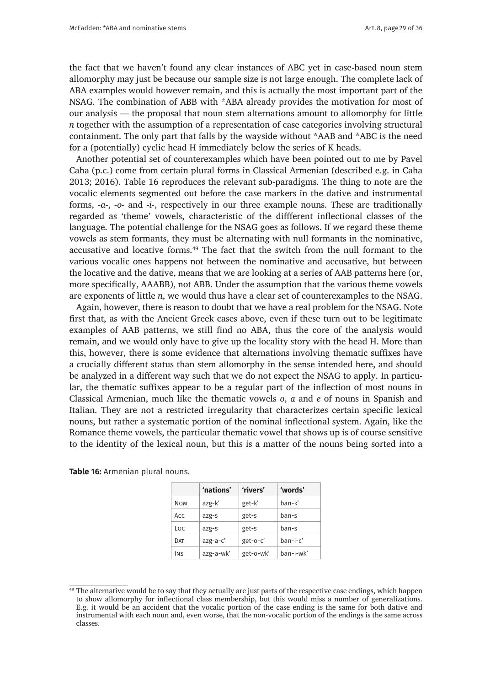the fact that we haven't found any clear instances of ABC yet in case-based noun stem allomorphy may just be because our sample size is not large enough. The complete lack of ABA examples would however remain, and this is actually the most important part of the NSAG. The combination of ABB with \*ABA already provides the motivation for most of our analysis — the proposal that noun stem alternations amount to allomorphy for little *n* together with the assumption of a representation of case categories involving structural containment. The only part that falls by the wayside without \*AAB and \*ABC is the need for a (potentially) cyclic head H immediately below the series of K heads.

Another potential set of counterexamples which have been pointed out to me by Pavel Caha (p.c.) come from certain plural forms in Classical Armenian (described e.g. in Caha 2013; 2016). Table 16 reproduces the relevant sub-paradigms. The thing to note are the vocalic elements segmented out before the case markers in the dative and instrumental forms, *-a-*, *-o-* and *-i-*, respectively in our three example nouns. These are traditionally regarded as 'theme' vowels, characteristic of the diffferent inflectional classes of the language. The potential challenge for the NSAG goes as follows. If we regard these theme vowels as stem formants, they must be alternating with null formants in the nominative, accusative and locative forms.49 The fact that the switch from the null formant to the various vocalic ones happens not between the nominative and accusative, but between the locative and the dative, means that we are looking at a series of AAB patterns here (or, more specifically, AAABB), not ABB. Under the assumption that the various theme vowels are exponents of little *n*, we would thus have a clear set of counterexamples to the NSAG.

Again, however, there is reason to doubt that we have a real problem for the NSAG. Note first that, as with the Ancient Greek cases above, even if these turn out to be legitimate examples of AAB patterns, we still find no ABA, thus the core of the analysis would remain, and we would only have to give up the locality story with the head H. More than this, however, there is some evidence that alternations involving thematic suffixes have a crucially different status than stem allomorphy in the sense intended here, and should be analyzed in a different way such that we do not expect the NSAG to apply. In particular, the thematic suffixes appear to be a regular part of the inflection of most nouns in Classical Armenian, much like the thematic vowels *o*, *a* and *e* of nouns in Spanish and Italian. They are not a restricted irregularity that characterizes certain specific lexical nouns, but rather a systematic portion of the nominal inflectional system. Again, like the Romance theme vowels, the particular thematic vowel that shows up is of course sensitive to the identity of the lexical noun, but this is a matter of the nouns being sorted into a

|            | 'nations' | 'rivers'  | 'words'   |
|------------|-----------|-----------|-----------|
| <b>NOM</b> | azg-k'    | get-k'    | han-k'    |
| Acc        | azg-s     | get-s     | ban-s     |
| Loc        | azg-s     | get-s     | ban-s     |
| DAT        | azg-a-c'  | get-o-c'  | ban-i-c'  |
| INS        | azg-a-wk' | get-o-wk' | ban-i-wk' |

**Table 16:** Armenian plural nouns.

 $49$  The alternative would be to say that they actually are just parts of the respective case endings, which happen to show allomorphy for inflectional class membership, but this would miss a number of generalizations. E.g. it would be an accident that the vocalic portion of the case ending is the same for both dative and instrumental with each noun and, even worse, that the non-vocalic portion of the endings is the same across classes.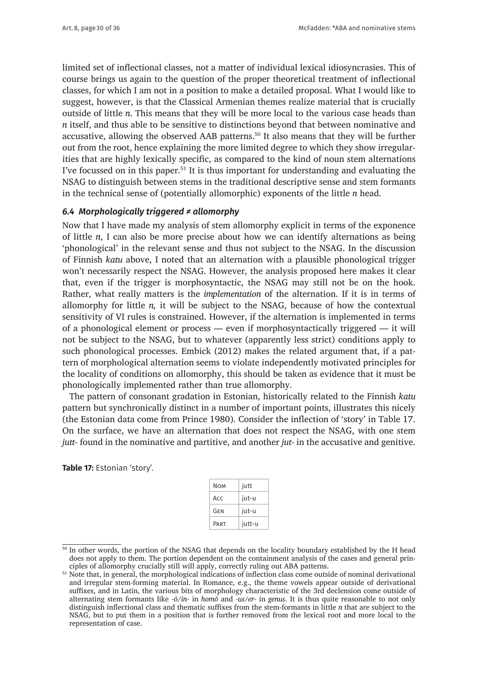limited set of inflectional classes, not a matter of individual lexical idiosyncrasies. This of course brings us again to the question of the proper theoretical treatment of inflectional classes, for which I am not in a position to make a detailed proposal. What I would like to suggest, however, is that the Classical Armenian themes realize material that is crucially outside of little *n*. This means that they will be more local to the various case heads than *n* itself, and thus able to be sensitive to distinctions beyond that between nominative and accusative, allowing the observed AAB patterns.50 It also means that they will be further out from the root, hence explaining the more limited degree to which they show irregularities that are highly lexically specific, as compared to the kind of noun stem alternations I've focussed on in this paper.<sup>51</sup> It is thus important for understanding and evaluating the NSAG to distinguish between stems in the traditional descriptive sense and stem formants in the technical sense of (potentially allomorphic) exponents of the little *n* head.

# *6.4 Morphologically triggered ≠ allomorphy*

Now that I have made my analysis of stem allomorphy explicit in terms of the exponence of little *n*, I can also be more precise about how we can identify alternations as being 'phonological' in the relevant sense and thus not subject to the NSAG. In the discussion of Finnish *katu* above, I noted that an alternation with a plausible phonological trigger won't necessarily respect the NSAG. However, the analysis proposed here makes it clear that, even if the trigger is morphosyntactic, the NSAG may still not be on the hook. Rather, what really matters is the *implementation* of the alternation. If it is in terms of allomorphy for little *n,* it will be subject to the NSAG, because of how the contextual sensitivity of VI rules is constrained. However, if the alternation is implemented in terms of a phonological element or process — even if morphosyntactically triggered — it will not be subject to the NSAG, but to whatever (apparently less strict) conditions apply to such phonological processes. Embick (2012) makes the related argument that, if a pattern of morphological alternation seems to violate independently motivated principles for the locality of conditions on allomorphy, this should be taken as evidence that it must be phonologically implemented rather than true allomorphy.

The pattern of consonant gradation in Estonian, historically related to the Finnish *katu* pattern but synchronically distinct in a number of important points, illustrates this nicely (the Estonian data come from Prince 1980). Consider the inflection of 'story' in Table 17. On the surface, we have an alternation that does not respect the NSAG, with one stem *jutt-* found in the nominative and partitive, and another *jut-* in the accusative and genitive.

**Table 17:** Estonian 'story'.

| jutt   |
|--------|
| jut-u  |
| jut-u  |
| jutt-u |
|        |

<sup>&</sup>lt;sup>50</sup> In other words, the portion of the NSAG that depends on the locality boundary established by the H head does not apply to them. The portion dependent on the containment analysis of the cases and general principles of allomorphy crucially still will apply, correctly ruling out ABA patterns.

<sup>&</sup>lt;sup>51</sup> Note that, in general, the morphological indications of inflection class come outside of nominal derivational and irregular stem-forming material. In Romance, e.g., the theme vowels appear outside of derivational suffixes, and in Latin, the various bits of morphology characteristic of the 3rd declension come outside of alternating stem formants like *-ō/in-* in *homō* and *-us/er-* in *genus*. It is thus quite reasonable to not only distinguish inflectional class and thematic suffixes from the stem-formants in little *n* that are subject to the NSAG, but to put them in a position that is further removed from the lexical root and more local to the representation of case.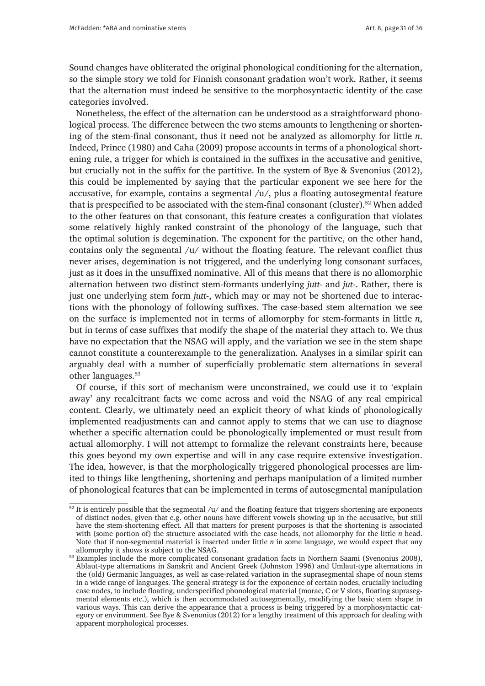Sound changes have obliterated the original phonological conditioning for the alternation, so the simple story we told for Finnish consonant gradation won't work. Rather, it seems that the alternation must indeed be sensitive to the morphosyntactic identity of the case categories involved.

Nonetheless, the effect of the alternation can be understood as a straightforward phonological process. The difference between the two stems amounts to lengthening or shortening of the stem-final consonant, thus it need not be analyzed as allomorphy for little *n*. Indeed, Prince (1980) and Caha (2009) propose accounts in terms of a phonological shortening rule, a trigger for which is contained in the suffixes in the accusative and genitive, but crucially not in the suffix for the partitive. In the system of Bye & Svenonius (2012), this could be implemented by saying that the particular exponent we see here for the accusative, for example, contains a segmental /u/, plus a floating autosegmental feature that is prespecified to be associated with the stem-final consonant (cluster).<sup>52</sup> When added to the other features on that consonant, this feature creates a configuration that violates some relatively highly ranked constraint of the phonology of the language, such that the optimal solution is degemination. The exponent for the partitive, on the other hand, contains only the segmental  $/u/$  without the floating feature. The relevant conflict thus never arises, degemination is not triggered, and the underlying long consonant surfaces, just as it does in the unsuffixed nominative. All of this means that there is no allomorphic alternation between two distinct stem-formants underlying *jutt-* and *jut-*. Rather, there is just one underlying stem form *jutt-*, which may or may not be shortened due to interactions with the phonology of following suffixes. The case-based stem alternation we see on the surface is implemented not in terms of allomorphy for stem-formants in little *n*, but in terms of case suffixes that modify the shape of the material they attach to. We thus have no expectation that the NSAG will apply, and the variation we see in the stem shape cannot constitute a counterexample to the generalization. Analyses in a similar spirit can arguably deal with a number of superficially problematic stem alternations in several other languages.<sup>53</sup>

Of course, if this sort of mechanism were unconstrained, we could use it to 'explain away' any recalcitrant facts we come across and void the NSAG of any real empirical content. Clearly, we ultimately need an explicit theory of what kinds of phonologically implemented readjustments can and cannot apply to stems that we can use to diagnose whether a specific alternation could be phonologically implemented or must result from actual allomorphy. I will not attempt to formalize the relevant constraints here, because this goes beyond my own expertise and will in any case require extensive investigation. The idea, however, is that the morphologically triggered phonological processes are limited to things like lengthening, shortening and perhaps manipulation of a limited number of phonological features that can be implemented in terms of autosegmental manipulation

 $\frac{52 \text{ It is entirely possible that the segmental } /u/$  and the floating feature that triggers shortening are exponents of distinct nodes, given that e.g. other nouns have different vowels showing up in the accusative, but still have the stem-shortening effect. All that matters for present purposes is that the shortening is associated with (some portion of) the structure associated with the case heads, not allomorphy for the little *n* head. Note that if non-segmental material is inserted under little *n* in some language, we would expect that any allomorphy it shows *is* subject to the NSAG.

<sup>&</sup>lt;sup>53</sup> Examples include the more complicated consonant gradation facts in Northern Saami (Svenonius 2008), Ablaut-type alternations in Sanskrit and Ancient Greek (Johnston 1996) and Umlaut-type alternations in the (old) Germanic languages, as well as case-related variation in the suprasegmental shape of noun stems in a wide range of languages. The general strategy is for the exponence of certain nodes, crucially including case nodes, to include floating, underspecified phonological material (morae, C or V slots, floating suprasegmental elements etc.), which is then accommodated autosegmentally, modifying the basic stem shape in various ways. This can derive the appearance that a process is being triggered by a morphosyntactic category or environment. See Bye & Svenonius (2012) for a lengthy treatment of this approach for dealing with apparent morphological processes.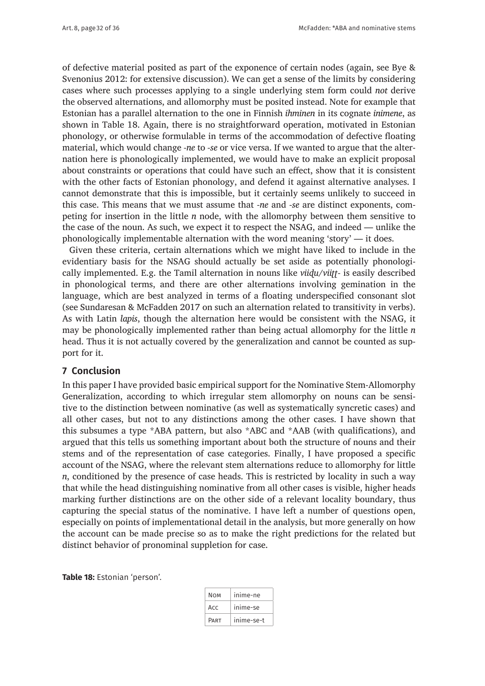of defective material posited as part of the exponence of certain nodes (again, see Bye & Svenonius 2012: for extensive discussion). We can get a sense of the limits by considering cases where such processes applying to a single underlying stem form could *not* derive the observed alternations, and allomorphy must be posited instead. Note for example that Estonian has a parallel alternation to the one in Finnish *ihminen* in its cognate *inimene*, as shown in Table 18. Again, there is no straightforward operation, motivated in Estonian phonology, or otherwise formulable in terms of the accommodation of defective floating material, which would change *-ne* to *-se* or vice versa. If we wanted to argue that the alternation here is phonologically implemented, we would have to make an explicit proposal about constraints or operations that could have such an effect, show that it is consistent with the other facts of Estonian phonology, and defend it against alternative analyses. I cannot demonstrate that this is impossible, but it certainly seems unlikely to succeed in this case. This means that we must assume that *-ne* and *-se* are distinct exponents, competing for insertion in the little *n* node, with the allomorphy between them sensitive to the case of the noun. As such, we expect it to respect the NSAG, and indeed — unlike the phonologically implementable alternation with the word meaning 'story' — it does.

Given these criteria, certain alternations which we might have liked to include in the evidentiary basis for the NSAG should actually be set aside as potentially phonologically implemented. E.g. the Tamil alternation in nouns like *viiɖu/viiʈʈ-* is easily described in phonological terms, and there are other alternations involving gemination in the language, which are best analyzed in terms of a floating underspecified consonant slot (see Sundaresan & McFadden 2017 on such an alternation related to transitivity in verbs). As with Latin *lapis*, though the alternation here would be consistent with the NSAG, it may be phonologically implemented rather than being actual allomorphy for the little *n*  head. Thus it is not actually covered by the generalization and cannot be counted as support for it.

## **7 Conclusion**

In this paper I have provided basic empirical support for the Nominative Stem-Allomorphy Generalization, according to which irregular stem allomorphy on nouns can be sensitive to the distinction between nominative (as well as systematically syncretic cases) and all other cases, but not to any distinctions among the other cases. I have shown that this subsumes a type \*ABA pattern, but also \*ABC and \*AAB (with qualifications), and argued that this tells us something important about both the structure of nouns and their stems and of the representation of case categories. Finally, I have proposed a specific account of the NSAG, where the relevant stem alternations reduce to allomorphy for little *n*, conditioned by the presence of case heads. This is restricted by locality in such a way that while the head distinguishing nominative from all other cases is visible, higher heads marking further distinctions are on the other side of a relevant locality boundary, thus capturing the special status of the nominative. I have left a number of questions open, especially on points of implementational detail in the analysis, but more generally on how the account can be made precise so as to make the right predictions for the related but distinct behavior of pronominal suppletion for case.

**Table 18:** Estonian 'person'.

| <b>NOM</b> | inime-ne   |
|------------|------------|
| Acc        | inime-se   |
| PART       | inime-se-t |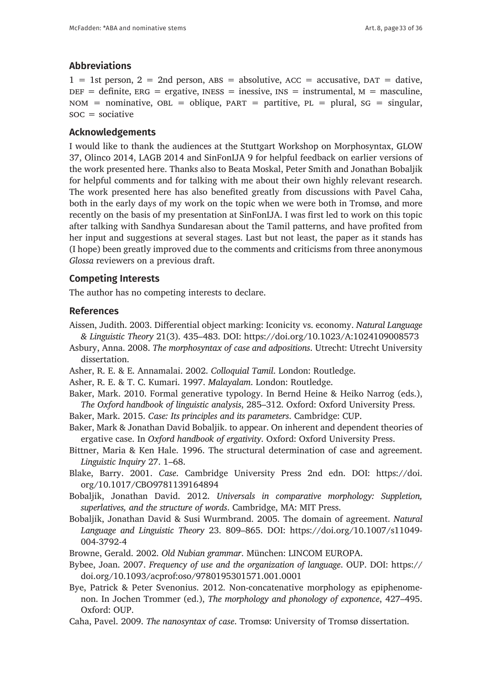# **Abbreviations**

 $1 = 1$ st person,  $2 = 2$ nd person,  $ABS =$  absolutive,  $AC =$  accusative,  $DATA =$  dative,  $DEF = definite$ ,  $ERG = ergative$ ,  $INES = inessive$ ,  $INS = instrumental$ ,  $M = masculine$ ,  $NOM$  = nominative,  $OBL$  = oblique,  $PART$  = partitive,  $PL$  = plural,  $SG$  = singular,  $\text{soc} = \text{sociative}$ 

## **Acknowledgements**

I would like to thank the audiences at the Stuttgart Workshop on Morphosyntax, GLOW 37, Olinco 2014, LAGB 2014 and SinFonIJA 9 for helpful feedback on earlier versions of the work presented here. Thanks also to Beata Moskal, Peter Smith and Jonathan Bobaljik for helpful comments and for talking with me about their own highly relevant research. The work presented here has also benefited greatly from discussions with Pavel Caha, both in the early days of my work on the topic when we were both in Tromsø, and more recently on the basis of my presentation at SinFonIJA. I was first led to work on this topic after talking with Sandhya Sundaresan about the Tamil patterns, and have profited from her input and suggestions at several stages. Last but not least, the paper as it stands has (I hope) been greatly improved due to the comments and criticisms from three anonymous *Glossa* reviewers on a previous draft.

## **Competing Interests**

The author has no competing interests to declare.

### **References**

- Aissen, Judith. 2003. Differential object marking: Iconicity vs. economy. *Natural Language & Linguistic Theory* 21(3). 435–483. DOI: <https://doi.org/10.1023/A:1024109008573>
- Asbury, Anna. 2008. *The morphosyntax of case and adpositions*. Utrecht: Utrecht University dissertation.
- Asher, R. E. & E. Annamalai. 2002. *Colloquial Tamil*. London: Routledge.
- Asher, R. E. & T. C. Kumari. 1997. *Malayalam*. London: Routledge.
- Baker, Mark. 2010. Formal generative typology. In Bernd Heine & Heiko Narrog (eds.), *The Oxford handbook of linguistic analysis*, 285–312. Oxford: Oxford University Press.
- Baker, Mark. 2015. *Case: Its principles and its parameters*. Cambridge: CUP.
- Baker, Mark & Jonathan David Bobaljik. to appear. On inherent and dependent theories of ergative case. In *Oxford handbook of ergativity*. Oxford: Oxford University Press.
- Bittner, Maria & Ken Hale. 1996. The structural determination of case and agreement. *Linguistic Inquiry* 27. 1–68.
- Blake, Barry. 2001. *Case*. Cambridge University Press 2nd edn. DOI: [https://doi.](https://doi.org/10.1017/CBO9781139164894) [org/10.1017/CBO9781139164894](https://doi.org/10.1017/CBO9781139164894)
- Bobaljik, Jonathan David. 2012. *Universals in comparative morphology: Suppletion, superlatives, and the structure of words*. Cambridge, MA: MIT Press.
- Bobaljik, Jonathan David & Susi Wurmbrand. 2005. The domain of agreement. *Natural Language and Linguistic Theory* 23. 809–865. DOI: [https://doi.org/10.1007/s11049-](https://doi.org/10.1007/s11049-004-3792-4) [004-3792-4](https://doi.org/10.1007/s11049-004-3792-4)
- Browne, Gerald. 2002. *Old Nubian grammar*. München: LINCOM EUROPA.
- Bybee, Joan. 2007. *Frequency of use and the organization of language*. OUP. DOI: [https://](https://doi.org/10.1093/acprof:oso/9780195301571.001.0001) [doi.org/10.1093/acprof:oso/9780195301571.001.0001](https://doi.org/10.1093/acprof:oso/9780195301571.001.0001)
- Bye, Patrick & Peter Svenonius. 2012. Non-concatenative morphology as epiphenomenon. In Jochen Trommer (ed.), *The morphology and phonology of exponence*, 427–495. Oxford: OUP.
- Caha, Pavel. 2009. *The nanosyntax of case*. Tromsø: University of Tromsø dissertation.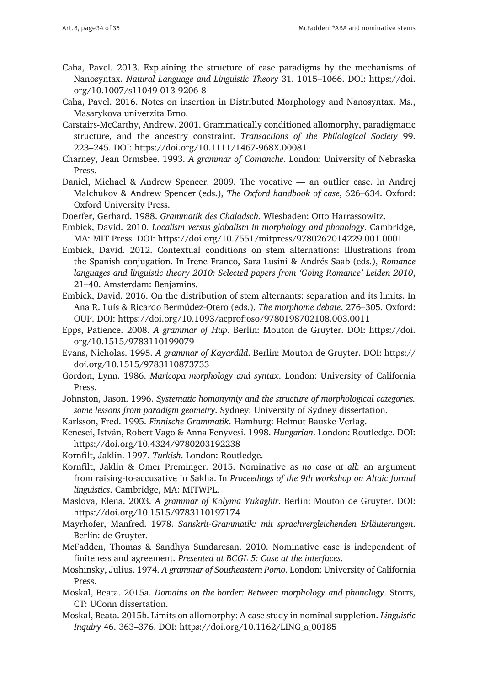- Caha, Pavel. 2013. Explaining the structure of case paradigms by the mechanisms of Nanosyntax. *Natural Language and Linguistic Theory* 31. 1015–1066. DOI: [https://doi.](https://doi.org/10.1007/s11049-013-9206-8) [org/10.1007/s11049-013-9206-8](https://doi.org/10.1007/s11049-013-9206-8)
- Caha, Pavel. 2016. Notes on insertion in Distributed Morphology and Nanosyntax. Ms., Masarykova univerzita Brno.
- Carstairs-McCarthy, Andrew. 2001. Grammatically conditioned allomorphy, paradigmatic structure, and the ancestry constraint. *Transactions of the Philological Society* 99. 223–245. DOI:<https://doi.org/10.1111/1467-968X.00081>
- Charney, Jean Ormsbee. 1993. *A grammar of Comanche*. London: University of Nebraska Press.
- Daniel, Michael & Andrew Spencer. 2009. The vocative an outlier case. In Andrej Malchukov & Andrew Spencer (eds.), *The Oxford handbook of case*, 626–634. Oxford: Oxford University Press.
- Doerfer, Gerhard. 1988. *Grammatik des Chaladsch*. Wiesbaden: Otto Harrassowitz.
- Embick, David. 2010. *Localism versus globalism in morphology and phonology*. Cambridge, MA: MIT Press. DOI: <https://doi.org/10.7551/mitpress/9780262014229.001.0001>
- Embick, David. 2012. Contextual conditions on stem alternations: Illustrations from the Spanish conjugation. In Irene Franco, Sara Lusini & Andrés Saab (eds.), *Romance languages and linguistic theory 2010: Selected papers from 'Going Romance' Leiden 2010*, 21–40. Amsterdam: Benjamins.
- Embick, David. 2016. On the distribution of stem alternants: separation and its limits. In Ana R. Luís & Ricardo Bermúdez-Otero (eds.), *The morphome debate*, 276–305. Oxford: OUP. DOI: <https://doi.org/10.1093/acprof:oso/9780198702108.003.0011>
- Epps, Patience. 2008. *A grammar of Hup*. Berlin: Mouton de Gruyter. DOI: [https://doi.](https://doi.org/10.1515/9783110199079) [org/10.1515/9783110199079](https://doi.org/10.1515/9783110199079)
- Evans, Nicholas. 1995. *A grammar of Kayardild*. Berlin: Mouton de Gruyter. DOI: [https://](https://doi.org/10.1515/9783110873733) [doi.org/10.1515/9783110873733](https://doi.org/10.1515/9783110873733)
- Gordon, Lynn. 1986. *Maricopa morphology and syntax*. London: University of California Press.
- Johnston, Jason. 1996. *Systematic homonymiy and the structure of morphological categories. some lessons from paradigm geometry*. Sydney: University of Sydney dissertation.
- Karlsson, Fred. 1995. *Finnische Grammatik*. Hamburg: Helmut Bauske Verlag.
- Kenesei, István, Robert Vago & Anna Fenyvesi. 1998. *Hungarian*. London: Routledge. DOI: <https://doi.org/10.4324/9780203192238>
- Kornfilt, Jaklin. 1997. *Turkish*. London: Routledge.
- Kornfilt, Jaklin & Omer Preminger. 2015. Nominative as *no case at all*: an argument from raising-to-accusative in Sakha. In *Proceedings of the 9th workshop on Altaic formal linguistics*. Cambridge, MA: MITWPL.
- Maslova, Elena. 2003. *A grammar of Kolyma Yukaghir*. Berlin: Mouton de Gruyter. DOI: <https://doi.org/10.1515/9783110197174>
- Mayrhofer, Manfred. 1978. *Sanskrit-Grammatik: mit sprachvergleichenden Erläuterungen*. Berlin: de Gruyter.
- McFadden, Thomas & Sandhya Sundaresan. 2010. Nominative case is independent of finiteness and agreement. *Presented at BCGL 5: Case at the interfaces*.
- Moshinsky, Julius. 1974. *A grammar of Southeastern Pomo*. London: University of California Press.
- Moskal, Beata. 2015a. *Domains on the border: Between morphology and phonology*. Storrs, CT: UConn dissertation.
- Moskal, Beata. 2015b. Limits on allomorphy: A case study in nominal suppletion. *Linguistic Inquiry* 46. 363–376. DOI: [https://doi.org/10.1162/LING\\_a\\_00185](https://doi.org/10.1162/LING_a_00185 )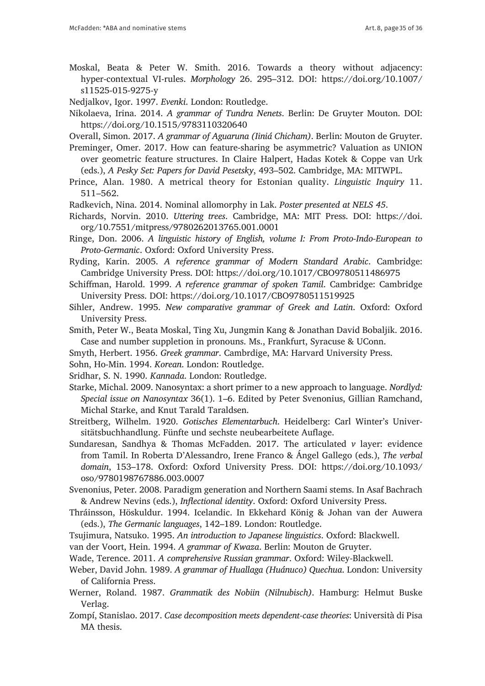Moskal, Beata & Peter W. Smith. 2016. Towards a theory without adjacency: hyper-contextual VI-rules. *Morphology* 26. 295–312. DOI: [https://doi.org/10.1007/](https://doi.org/10.1007/s11525-015-9275-y) [s11525-015-9275-y](https://doi.org/10.1007/s11525-015-9275-y)

Nedjalkov, Igor. 1997. *Evenki*. London: Routledge.

Nikolaeva, Irina. 2014. *A grammar of Tundra Nenets*. Berlin: De Gruyter Mouton. DOI: <https://doi.org/10.1515/9783110320640>

Overall, Simon. 2017. *A grammar of Aguaruna (Iiniá Chicham)*. Berlin: Mouton de Gruyter.

Preminger, Omer. 2017. How can feature-sharing be asymmetric? Valuation as UNION over geometric feature structures. In Claire Halpert, Hadas Kotek & Coppe van Urk (eds.), *A Pesky Set: Papers for David Pesetsky*, 493–502. Cambridge, MA: MITWPL.

Radkevich, Nina. 2014. Nominal allomorphy in Lak. *Poster presented at NELS 45*.

Richards, Norvin. 2010. *Uttering trees*. Cambridge, MA: MIT Press. DOI: [https://doi.](https://doi.org/10.7551/mitpress/9780262013765.001.0001) [org/10.7551/mitpress/9780262013765.001.0001](https://doi.org/10.7551/mitpress/9780262013765.001.0001)

Ringe, Don. 2006. *A linguistic history of English, volume I: From Proto-Indo-European to Proto-Germanic*. Oxford: Oxford University Press.

- Ryding, Karin. 2005. *A reference grammar of Modern Standard Arabic*. Cambridge: Cambridge University Press. DOI: <https://doi.org/10.1017/CBO9780511486975>
- Schiffman, Harold. 1999. *A reference grammar of spoken Tamil*. Cambridge: Cambridge University Press. DOI:<https://doi.org/10.1017/CBO9780511519925>

Sihler, Andrew. 1995. *New comparative grammar of Greek and Latin*. Oxford: Oxford University Press.

- Smith, Peter W., Beata Moskal, Ting Xu, Jungmin Kang & Jonathan David Bobaljik. 2016. Case and number suppletion in pronouns. Ms., Frankfurt, Syracuse & UConn.
- Smyth, Herbert. 1956. *Greek grammar*. Cambrdige, MA: Harvard University Press.
- Sohn, Ho-Min. 1994. *Korean*. London: Routledge.
- Sridhar, S. N. 1990. *Kannada*. London: Routledge.
- Starke, Michal. 2009. Nanosyntax: a short primer to a new approach to language. *Nordlyd: Special issue on Nanosyntax* 36(1). 1–6. Edited by Peter Svenonius, Gillian Ramchand, Michal Starke, and Knut Tarald Taraldsen.
- Streitberg, Wilhelm. 1920. *Gotisches Elementarbuch*. Heidelberg: Carl Winter's Universitätsbuchhandlung. Fünfte und sechste neubearbeitete Auflage.
- Sundaresan, Sandhya & Thomas McFadden. 2017. The articulated *v* layer: evidence from Tamil. In Roberta D'Alessandro, Irene Franco & Ángel Gallego (eds.), *The verbal domain*, 153–178. Oxford: Oxford University Press. DOI: [https://doi.org/10.1093/](https://doi.org/10.1093/oso/9780198767886.003.0007) [oso/9780198767886.003.0007](https://doi.org/10.1093/oso/9780198767886.003.0007)

Svenonius, Peter. 2008. Paradigm generation and Northern Saami stems. In Asaf Bachrach & Andrew Nevins (eds.), *Inflectional identity*. Oxford: Oxford University Press.

- Thráinsson, Höskuldur. 1994. Icelandic. In Ekkehard König & Johan van der Auwera (eds.), *The Germanic languages*, 142–189. London: Routledge.
- Tsujimura, Natsuko. 1995. *An introduction to Japanese linguistics*. Oxford: Blackwell.
- van der Voort, Hein. 1994. *A grammar of Kwaza*. Berlin: Mouton de Gruyter.
- Wade, Terence. 2011. *A comprehensive Russian grammar*. Oxford: Wiley-Blackwell.
- Weber, David John. 1989. *A grammar of Huallaga (Huánuco) Quechua*. London: University of California Press.
- Werner, Roland. 1987. *Grammatik des Nobiin (Nilnubisch)*. Hamburg: Helmut Buske Verlag.
- Zompí, Stanislao. 2017. *Case decomposition meets dependent-case theories*: Università di Pisa MA thesis.

Prince, Alan. 1980. A metrical theory for Estonian quality. *Linguistic Inquiry* 11. 511–562.